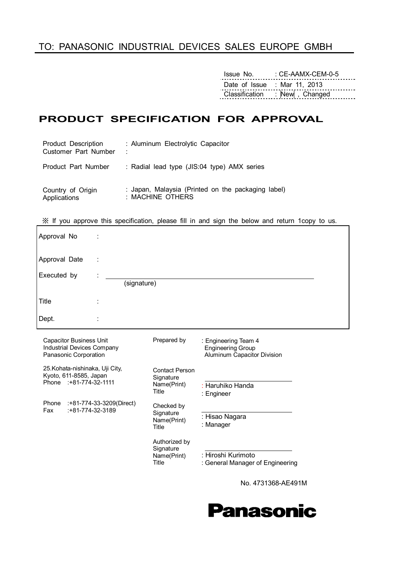### TO: PANASONIC INDUSTRIAL DEVICES SALES EUROPE GMBH

Issue No. : CE-AAMX-CEM-0-5 Date of Issue : Mar 11, 2013 Classification : New , Changed

### **PRODUCT SPECIFICATION FOR APPROVAL**

| Product Description  | : Aluminum Electrolytic Capacitor                  |
|----------------------|----------------------------------------------------|
| Customer Part Number | ÷                                                  |
| Product Part Number  | : Radial lead type (JIS:04 type) AMX series        |
| Country of Origin    | : Japan, Malaysia (Printed on the packaging label) |
| Applications         | : MACHINE OTHERS                                   |

※ If you approve this specification, please fill in and sign the below and return 1copy to us.

| Approval No                                                                           |             |                                                            |                                                                                 |  |
|---------------------------------------------------------------------------------------|-------------|------------------------------------------------------------|---------------------------------------------------------------------------------|--|
| Approval Date                                                                         | ÷           |                                                            |                                                                                 |  |
| Executed by                                                                           | (signature) |                                                            |                                                                                 |  |
| Title                                                                                 |             |                                                            |                                                                                 |  |
| Dept.                                                                                 | ٠           |                                                            |                                                                                 |  |
| <b>Capacitor Business Unit</b><br>Industrial Devices Company<br>Panasonic Corporation |             | Prepared by                                                | : Engineering Team 4<br><b>Engineering Group</b><br>Aluminum Capacitor Division |  |
| 25. Kohata-nishinaka, Uji City,<br>Kyoto, 611-8585, Japan<br>Phone : +81-774-32-1111  |             | <b>Contact Person</b><br>Signature<br>Name(Print)<br>Title | : Haruhiko Handa<br>$\cdot$ Engineer                                            |  |

Checked by **Signature** Name(Print) Title

Authorized by **Signature** Name(Print) Title

Phone :+81-774-33-3209(Direct) Fax :+81-774-32-3189

 : Hisao Nagara : Manager

: Engineer

: Hiroshi Kurimoto

: General Manager of Engineering

No. 4731368-AE491M

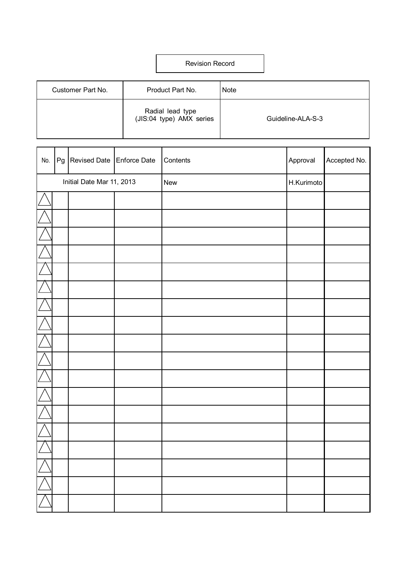### Revision Record

| Customer Part No. | Product Part No.                             | <b>Note</b>       |
|-------------------|----------------------------------------------|-------------------|
|                   | Radial lead type<br>(JIS:04 type) AMX series | Guideline-ALA-S-3 |

| No.      | Pg   Revised Date   Enforce Date | Contents | Approval   | Accepted No. |
|----------|----------------------------------|----------|------------|--------------|
|          | Initial Date Mar 11, 2013        | New      | H.Kurimoto |              |
|          |                                  |          |            |              |
|          |                                  |          |            |              |
|          |                                  |          |            |              |
|          |                                  |          |            |              |
|          |                                  |          |            |              |
|          |                                  |          |            |              |
|          |                                  |          |            |              |
|          |                                  |          |            |              |
|          |                                  |          |            |              |
|          |                                  |          |            |              |
|          |                                  |          |            |              |
|          |                                  |          |            |              |
|          |                                  |          |            |              |
|          |                                  |          |            |              |
| $\angle$ |                                  |          |            |              |
|          |                                  |          |            |              |
|          |                                  |          |            |              |
|          |                                  |          |            |              |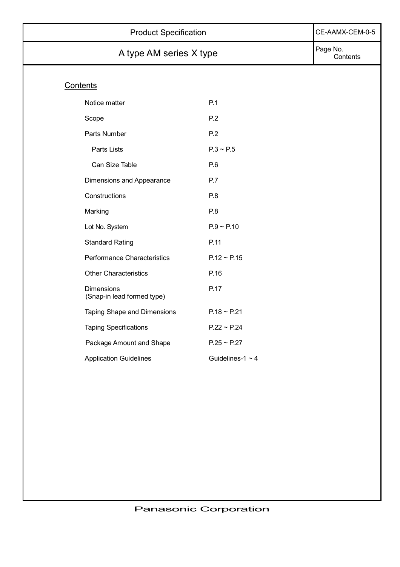| <b>Product Specification</b>                    | CE-AAMX-CEM-0-5       |  |
|-------------------------------------------------|-----------------------|--|
| A type AM series X type                         | Page No.<br>Contents  |  |
| Contents                                        |                       |  |
| Notice matter                                   | P.1                   |  |
| Scope                                           | P.2                   |  |
| Parts Number                                    | P.2                   |  |
| Parts Lists                                     | $P.3 \sim P.5$        |  |
| Can Size Table                                  | P.6                   |  |
| Dimensions and Appearance                       | P.7                   |  |
| Constructions                                   | P.8                   |  |
| Marking                                         | P.8                   |  |
| Lot No. System                                  | $P.9 \sim P.10$       |  |
| <b>Standard Rating</b>                          | P.11                  |  |
| Performance Characteristics                     | $P.12 \sim P.15$      |  |
| <b>Other Characteristics</b>                    | P.16                  |  |
| <b>Dimensions</b><br>(Snap-in lead formed type) | P.17                  |  |
| Taping Shape and Dimensions                     | $P.18 \sim P.21$      |  |
| <b>Taping Specifications</b>                    | $P.22 \sim P.24$      |  |
| Package Amount and Shape                        | $P.25 \sim P.27$      |  |
| <b>Application Guidelines</b>                   | Guidelines-1 $\sim$ 4 |  |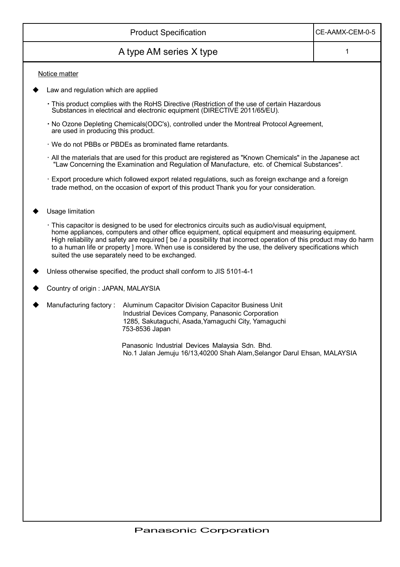|                                                 | CE-AAMX-CEM-0-5                                                                                                                                                                                                                                                                                                                                                                                                                        |   |
|-------------------------------------------------|----------------------------------------------------------------------------------------------------------------------------------------------------------------------------------------------------------------------------------------------------------------------------------------------------------------------------------------------------------------------------------------------------------------------------------------|---|
|                                                 | A type AM series X type                                                                                                                                                                                                                                                                                                                                                                                                                | 1 |
| Notice matter                                   |                                                                                                                                                                                                                                                                                                                                                                                                                                        |   |
| Law and regulation which are applied            |                                                                                                                                                                                                                                                                                                                                                                                                                                        |   |
|                                                 | · This product complies with the RoHS Directive (Restriction of the use of certain Hazardous<br>Substances in electrical and electronic equipment (DIRECTIVE 2011/65/EU).                                                                                                                                                                                                                                                              |   |
| are used in producing this product.             | . No Ozone Depleting Chemicals (ODC's), controlled under the Montreal Protocol Agreement,                                                                                                                                                                                                                                                                                                                                              |   |
|                                                 | · We do not PBBs or PBDEs as brominated flame retardants.                                                                                                                                                                                                                                                                                                                                                                              |   |
|                                                 | . All the materials that are used for this product are registered as "Known Chemicals" in the Japanese act<br>"Law Concerning the Examination and Regulation of Manufacture, etc. of Chemical Substances".                                                                                                                                                                                                                             |   |
|                                                 | Export procedure which followed export related regulations, such as foreign exchange and a foreign<br>trade method, on the occasion of export of this product Thank you for your consideration.                                                                                                                                                                                                                                        |   |
| Usage limitation                                |                                                                                                                                                                                                                                                                                                                                                                                                                                        |   |
| suited the use separately need to be exchanged. | · This capacitor is designed to be used for electronics circuits such as audio/visual equipment,<br>home appliances, computers and other office equipment, optical equipment and measuring equipment.<br>High reliability and safety are required [be / a possibility that incorrect operation of this product may do harm<br>to a human life or property ] more. When use is considered by the use, the delivery specifications which |   |
|                                                 | Unless otherwise specified, the product shall conform to JIS 5101-4-1                                                                                                                                                                                                                                                                                                                                                                  |   |
| Country of origin : JAPAN, MALAYSIA             |                                                                                                                                                                                                                                                                                                                                                                                                                                        |   |
| Manufacturing factory:                          | Aluminum Capacitor Division Capacitor Business Unit<br>Industrial Devices Company, Panasonic Corporation<br>1285, Sakutaguchi, Asada, Yamaguchi City, Yamaguchi<br>753-8536 Japan                                                                                                                                                                                                                                                      |   |
|                                                 | Panasonic Industrial Devices Malaysia Sdn. Bhd.<br>No.1 Jalan Jemuju 16/13,40200 Shah Alam, Selangor Darul Ehsan, MALAYSIA                                                                                                                                                                                                                                                                                                             |   |
|                                                 |                                                                                                                                                                                                                                                                                                                                                                                                                                        |   |
|                                                 |                                                                                                                                                                                                                                                                                                                                                                                                                                        |   |
|                                                 |                                                                                                                                                                                                                                                                                                                                                                                                                                        |   |
|                                                 |                                                                                                                                                                                                                                                                                                                                                                                                                                        |   |
|                                                 |                                                                                                                                                                                                                                                                                                                                                                                                                                        |   |
|                                                 |                                                                                                                                                                                                                                                                                                                                                                                                                                        |   |
|                                                 |                                                                                                                                                                                                                                                                                                                                                                                                                                        |   |
|                                                 |                                                                                                                                                                                                                                                                                                                                                                                                                                        |   |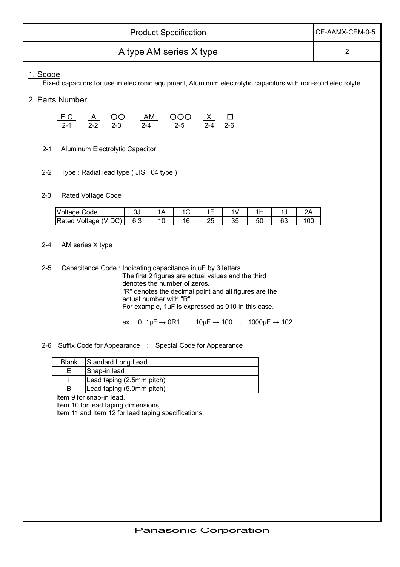|                         | <b>Product Specification</b>                                                                                                                                             |                                                                                                                                                                         |    |    |    |    |    |    |                | CE-AAMX-CEM-0-5 |
|-------------------------|--------------------------------------------------------------------------------------------------------------------------------------------------------------------------|-------------------------------------------------------------------------------------------------------------------------------------------------------------------------|----|----|----|----|----|----|----------------|-----------------|
| A type AM series X type |                                                                                                                                                                          |                                                                                                                                                                         |    |    |    |    |    |    | $\overline{2}$ |                 |
| 1. Scope                | Fixed capacitors for use in electronic equipment, Aluminum electrolytic capacitors with non-solid electrolyte.                                                           |                                                                                                                                                                         |    |    |    |    |    |    |                |                 |
|                         | 2. Parts Number                                                                                                                                                          |                                                                                                                                                                         |    |    |    |    |    |    |                |                 |
|                         | $\underbrace{EC}_{2-1}$ $\underbrace{A}_{2-2}$ $\underbrace{OO}_{2-3}$ $\underbrace{AM}_{2-4}$ $\underbrace{OOO}_{2-5}$ $\underbrace{X}_{2-4}$ $\underbrace{\Box}_{2-6}$ |                                                                                                                                                                         |    |    |    |    |    |    |                |                 |
| $2 - 1$                 | Aluminum Electrolytic Capacitor                                                                                                                                          |                                                                                                                                                                         |    |    |    |    |    |    |                |                 |
| $2 - 2$                 | Type: Radial lead type ( JIS: 04 type)                                                                                                                                   |                                                                                                                                                                         |    |    |    |    |    |    |                |                 |
| $2 - 3$                 | <b>Rated Voltage Code</b>                                                                                                                                                |                                                                                                                                                                         |    |    |    |    |    |    |                |                 |
|                         | <b>Voltage Code</b>                                                                                                                                                      | $0\,\text{J}$                                                                                                                                                           | 1A | 1C | 1E | 1V | 1H | 1J | 2A             |                 |
|                         | Rated Voltage (V.DC)                                                                                                                                                     | 6.3                                                                                                                                                                     | 10 | 16 | 25 | 35 | 50 | 63 | 100            |                 |
| $2 - 4$<br>$2 - 5$      | AM series X type<br>Capacitance Code: Indicating capacitance in uF by 3 letters.                                                                                         |                                                                                                                                                                         |    |    |    |    |    |    |                |                 |
|                         |                                                                                                                                                                          | The first 2 figures are actual values and the third<br>denotes the number of zeros.<br>"R" denotes the decimal point and all figures are the<br>actual number with "R". |    |    |    |    |    |    |                |                 |
|                         |                                                                                                                                                                          | For example, 1uF is expressed as 010 in this case.<br>ex. 0. 1 $\mu$ F $\rightarrow$ 0R1, 10 $\mu$ F $\rightarrow$ 100, 1000 $\mu$ F $\rightarrow$ 102                  |    |    |    |    |    |    |                |                 |
| $2 - 6$                 | Suffix Code for Appearance : Special Code for Appearance                                                                                                                 |                                                                                                                                                                         |    |    |    |    |    |    |                |                 |
|                         | Standard Long Lead<br><b>Blank</b>                                                                                                                                       |                                                                                                                                                                         |    |    |    |    |    |    |                |                 |
|                         | E<br>Snap-in lead                                                                                                                                                        |                                                                                                                                                                         |    |    |    |    |    |    |                |                 |
|                         | Lead taping (2.5mm pitch)<br>B<br>Lead taping (5.0mm pitch)                                                                                                              |                                                                                                                                                                         |    |    |    |    |    |    |                |                 |
|                         | Item 9 for snap-in lead,                                                                                                                                                 |                                                                                                                                                                         |    |    |    |    |    |    |                |                 |
|                         | Item 10 for lead taping dimensions,<br>Item 11 and Item 12 for lead taping specifications.                                                                               |                                                                                                                                                                         |    |    |    |    |    |    |                |                 |
|                         |                                                                                                                                                                          |                                                                                                                                                                         |    |    |    |    |    |    |                |                 |
|                         |                                                                                                                                                                          |                                                                                                                                                                         |    |    |    |    |    |    |                |                 |
|                         |                                                                                                                                                                          |                                                                                                                                                                         |    |    |    |    |    |    |                |                 |
|                         |                                                                                                                                                                          |                                                                                                                                                                         |    |    |    |    |    |    |                |                 |
|                         |                                                                                                                                                                          |                                                                                                                                                                         |    |    |    |    |    |    |                |                 |
|                         |                                                                                                                                                                          |                                                                                                                                                                         |    |    |    |    |    |    |                |                 |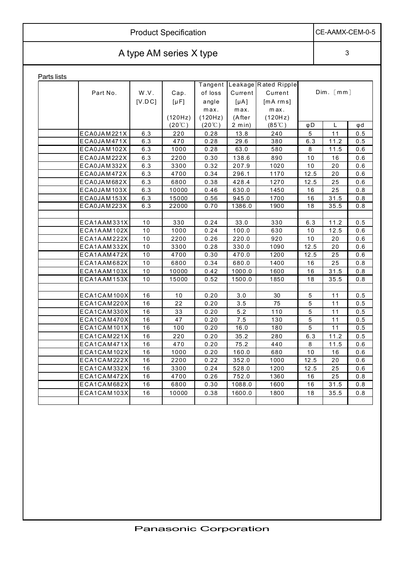|             | <b>Product Specification</b> |                 |                            |                                    |                                   |                                             |                |           |  | CE-AAMX-CEM-0-5 |
|-------------|------------------------------|-----------------|----------------------------|------------------------------------|-----------------------------------|---------------------------------------------|----------------|-----------|--|-----------------|
|             | A type AM series X type      |                 |                            |                                    |                                   |                                             |                |           |  |                 |
| Parts lists |                              |                 |                            |                                    |                                   |                                             |                |           |  |                 |
|             | Part No.                     | W.V.<br>[V.D C] | Cap.<br>$[\mu F]$          | Tangent<br>of loss<br>angle        | Current<br>$[\mu A]$              | Leakage Rated Ripple<br>Current<br>[mA rms] |                | Dim. [mm] |  |                 |
|             |                              |                 | (120Hz)<br>$(20^{\circ}C)$ | max.<br>(120Hz)<br>$(20^{\circ}C)$ | max.<br>(After<br>$2 \text{ min}$ | max.<br>(120Hz)<br>$(85^{\circ}C)$          | φD             |           |  | φd              |
|             | ECA0JAM221X                  | 6.3             | 220                        | 0.28                               | 13.8                              | 240                                         | 5              | 11        |  | 0.5             |
|             | ECA0JAM471X                  | 6.3             | 470                        | 0.28                               | 29.6                              | 380                                         | 6.3            | 11.2      |  | 0.5             |
|             | ECA0JAM102X                  | 6.3             | 1000                       | 0.28                               | 63.0                              | 580                                         | 8              | 11.5      |  | 0.6             |
|             | ECA0JAM222X                  | 6.3             | 2200                       | 0.30                               | 138.6                             | 890                                         | 10             | 16        |  | 0.6             |
|             | ECA0JAM332X                  | 6.3             | 3300                       | 0.32                               | 207.9                             | 1020                                        | 10             | 20        |  | 0.6             |
|             | ECA0JAM472X                  | 6.3             | 4700                       | 0.34                               | 296.1                             | 1170                                        | 12.5           | 20        |  | 0.6             |
|             | ECA0JAM682X                  | 6.3             | 6800                       | 0.38                               | 428.4                             | 1270                                        | 12.5           | 25        |  | 0.6             |
|             | ECA0JAM103X                  | 6.3             | 10000                      | 0.46                               | 630.0                             | 1450                                        | 16             | 25        |  | 0.8             |
|             | ECA0JAM153X                  | 6.3             | 15000                      | 0.56                               | 945.0                             | 1700                                        | 16             | 31.5      |  | 0.8             |
|             | ECA0JAM223X                  | 6.3             | 22000                      | 0.70                               | 1386.0                            | 1900                                        | 18             | 35.5      |  | 0.8             |
|             |                              |                 |                            |                                    |                                   |                                             |                |           |  |                 |
|             | ECA1AAM331X                  | 10              | 330                        | 0.24                               | 33.0                              | 330                                         | 6.3            | 11.2      |  | 0.5             |
|             | ECA1AAM102X                  | 10              | 1000                       | 0.24                               | 100.0                             | 630                                         | 10             | 12.5      |  | 0.6             |
|             | ECA1AAM222X                  | 10              | 2200                       | 0.26                               | 220.0                             | 920                                         | 10             | 20        |  | 0.6             |
|             | ECA1AAM332X                  | 10              | 3300                       | 0.28                               | 330.0                             | 1090                                        | 12.5           | 20        |  | 0.6             |
|             | ECA1AAM472X                  | 10              | 4700                       | 0.30                               | 470.0                             | 1200                                        | 12.5           | 25        |  | 0.6             |
|             | ECA1AAM682X                  | 10              | 6800                       | 0.34                               | 680.0                             | 1400                                        | 16             | 25        |  | 0.8             |
|             | ECA1AAM103X                  | 10              | 10000                      | 0.42                               | 1000.0                            | 1600                                        | 16             | 31.5      |  | 0.8             |
|             | ECA1AAM153X                  | 10              | 15000                      | 0.52                               | 1500.0                            | 1850                                        | 18             | 35.5      |  | 0.8             |
|             |                              |                 |                            |                                    |                                   |                                             |                |           |  |                 |
|             | ECA1CAM100X                  | 16              | 10                         | 0.20                               | 3.0                               | 30                                          | 5              | 11        |  | 0.5             |
|             | ECA1CAM220X                  | 16              | 22                         | 0.20                               | 3.5                               | 75                                          | 5              | 11        |  | 0.5             |
|             | ECA1CAM330X                  | 16              | 33                         | 0.20                               | 5.2                               | 110                                         | 5              | 11        |  | 0.5             |
|             | ECA1CAM470X                  | 16              | 47                         | 0.20                               | 7.5                               | 130                                         | 5              | 11        |  | 0.5             |
|             | ECA1CAM101X                  | 16              | 100                        | 0.20                               | 16.0                              | 180                                         | $\overline{5}$ | 11        |  | 0.5             |
|             | ECA1CAM221X                  | 16              | 220                        | 0.20                               | 35.2                              | 280                                         | 6.3            | 11.2      |  | 0.5             |
|             | ECA1CAM471X                  | 16              | 470                        | 0.20                               | 75.2                              | 440                                         | 8              | 11.5      |  | 0.6             |
|             | ECA1CAM102X                  | 16              | 1000                       | 0.20                               | 160.0                             | 680                                         | 10             | 16        |  | 0.6             |
|             | ECA1CAM222X                  | 16              | 2200                       | 0.22                               | 352.0                             | 1000                                        | 12.5           | 20        |  | 0.6             |
|             | ECA1CAM332X                  | 16              | 3300                       | 0.24                               | 528.0                             | 1200                                        | 12.5           | 25        |  | 0.6             |
|             | ECA1CAM472X                  | 16              | 4700                       | 0.26                               | 752.0                             | 1360                                        | 16             | 25        |  | 0.8             |
|             | ECA1CAM682X                  | 16              | 6800                       | 0.30                               | 1088.0                            | 1600                                        | 16             | 31.5      |  | 0.8             |
|             | ECA1CAM103X                  | 16              | 10000                      | 0.38                               | 1600.0                            | 1800                                        | 18             | 35.5      |  | 0.8             |
|             |                              |                 |                            |                                    |                                   |                                             |                |           |  |                 |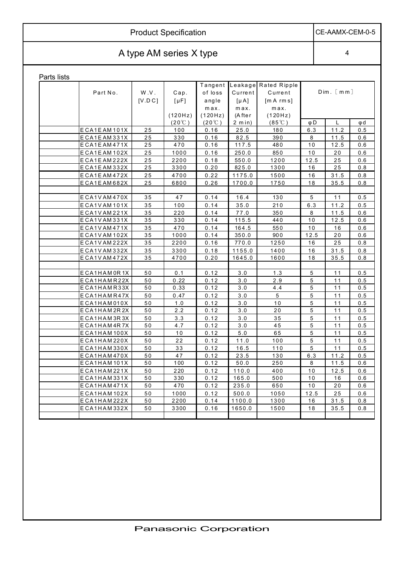|             | CE-AAMX-CEM-0-5         |                 |                              |                                                |                                                    |                                                          |             |           |     |  |  |  |
|-------------|-------------------------|-----------------|------------------------------|------------------------------------------------|----------------------------------------------------|----------------------------------------------------------|-------------|-----------|-----|--|--|--|
|             | A type AM series X type |                 |                              |                                                |                                                    |                                                          |             |           |     |  |  |  |
| Parts lists |                         |                 |                              |                                                |                                                    |                                                          |             |           |     |  |  |  |
|             | Part No.                | W.V.<br>[V.D C] | Cap.<br>$[\mu F]$<br>(120Hz) | Tangent<br>of loss<br>angle<br>max.<br>(120Hz) | Leakage<br>Current<br>$[\mu A]$<br>max.<br>(A fter | Rated Ripple<br>Current<br>[m A rm s]<br>max.<br>(120Hz) |             | Dim. [mm] |     |  |  |  |
|             |                         |                 | $(20^{\circ}C)$              | $(20^{\circ}C)$                                | $2 \text{ min}$ )                                  | $(85^{\circ}$ C)                                         | $\varphi$ D | L         | φd  |  |  |  |
|             | ECA1EAM101X             | 25              | 100                          | 0.16                                           | 25.0                                               | 180                                                      | 6.3         | 11.2      | 0.5 |  |  |  |
|             | ECA1EAM331X             | 25              | 330                          | 0.16                                           | 82.5                                               | 390                                                      | 8           | 11.5      | 0.6 |  |  |  |
|             | ECA1EAM471X             | 25              | 470                          | 0.16                                           | 117.5                                              | 480                                                      | 10          | 12.5      | 0.6 |  |  |  |
|             | ECA1EAM102X             | $2\,5$          | 1000                         | 0.16                                           | 250.0                                              | 850                                                      | 10          | 20        | 0.6 |  |  |  |
|             | ECA1EAM222X             | 25              | 2200                         | 0.18                                           | 550.0                                              | 1200                                                     | 12.5        | 25        | 0.6 |  |  |  |
|             | ECA1EAM332X             | 25              | 3300                         | 0.20                                           | 825.0                                              | 1300                                                     | 16          | 25        | 0.8 |  |  |  |
|             | ECA1EAM472X             | 25              | 4700                         | 0.22                                           | 1175.0                                             | 1500                                                     | 16          | 31.5      | 0.8 |  |  |  |
|             | ECA1EAM682X             | 25              | 6800                         | 0.26                                           | 1700.0                                             | 1750                                                     | 18          | 35.5      | 0.8 |  |  |  |
|             |                         |                 |                              |                                                |                                                    |                                                          |             |           |     |  |  |  |
|             | ECA1VAM470X             | 35              | 47                           | 0.14                                           | 16.4                                               | 130                                                      | 5           | 11        | 0.5 |  |  |  |
|             | ECA1VAM101X             | 35              | 100                          | 0.14                                           | 35.0                                               | 210                                                      | 6.3         | 11.2      | 0.5 |  |  |  |
|             | ECA1VAM221X             | 35              | 220                          | 0.14                                           | 77.0                                               | 350                                                      | 8           | 11.5      | 0.6 |  |  |  |
|             | ECA1VAM331X             | 35              | 330                          | 0.14                                           | 115.5                                              | 440                                                      | 10          | 12.5      | 0.6 |  |  |  |
|             | ECA1VAM471X             | 35              | 470                          | 0.14                                           | 164.5                                              | 550                                                      | 10          | 16        | 0.6 |  |  |  |
|             | ECA1VAM102X             | 35              | 1000                         | 0.14                                           | 350.0                                              | 900                                                      | 12.5        | 20        | 0.6 |  |  |  |
|             | ECA1VAM222X             | 35              | 2200                         | 0.16                                           | 770.0                                              | 1250                                                     | 16          | 25        | 0.8 |  |  |  |
|             | ECA1VAM332X             | 35              | 3300                         | 0.18                                           | 1155.0                                             | 1400                                                     | 16          | 31.5      | 0.8 |  |  |  |
|             | ECA1VAM472X             | 35              | 4700                         | 0.20                                           | 1645.0                                             | 1600                                                     | 18          | 35.5      | 0.8 |  |  |  |
|             |                         |                 |                              |                                                |                                                    |                                                          |             |           |     |  |  |  |
|             | ECA1HAM0R1X             | 50              | 0.1                          | 0.12                                           | 3.0                                                | 1.3                                                      | 5           | 11        | 0.5 |  |  |  |
|             | ECA1HAMR22X             | 50              | 0.22                         | 0.12                                           | 3.0                                                | 2.9                                                      | 5           | 11        | 0.5 |  |  |  |
|             | ECA1HAMR33X             | 50              | 0.33                         | 0.12                                           | 3.0                                                | 4.4                                                      | 5           | 11        | 0.5 |  |  |  |
|             | ECA1HAMR47X             | 50              | 0.47                         | 0.12                                           | $3.0$                                              | 5                                                        | 5           | 11        | 0.5 |  |  |  |
|             | ECA1HAM010X             | 50              | 1.0                          | 0.12                                           | 3.0                                                | 10                                                       | 5           | 11        | 0.5 |  |  |  |
|             | ECA1HAM2R2X             | 50              | 2.2                          | 0.12                                           | 3.0                                                | 20                                                       | 5           | 11        | 0.5 |  |  |  |
|             | ECA1HAM3R3X             | 50              | 3.3                          | 0.12                                           | 3.0                                                | 35                                                       | 5           | 11        | 0.5 |  |  |  |
|             | ECA1HAM4R7X             | 50              | 4.7                          | 0.12                                           | 3.0                                                | 45                                                       | 5           | 11        | 0.5 |  |  |  |
|             | ECA1HAM100X             | 50              | 10                           | 0.12                                           | 5.0                                                | 65                                                       | 5           | 11        | 0.5 |  |  |  |
|             | ECA1HAM220X             | 50              | 22                           | 0.12                                           | 11.0                                               | 100                                                      | 5           | 11        | 0.5 |  |  |  |
|             | ECA1HAM330X             | 50              | 33                           | 0.12                                           | 16.5                                               | 110                                                      | 5           | 11        | 0.5 |  |  |  |
|             | ECA1HAM470X             | 50              | 47                           | 0.12                                           | 23.5                                               | 130                                                      | 6.3         | 11.2      | 0.5 |  |  |  |
|             | ECA1HAM101X             | 50              | 100                          | 0.12                                           | 50.0                                               | 250                                                      | 8           | 11.5      | 0.6 |  |  |  |
|             | ECA1HAM221X             | 50              | 220                          | 0.12                                           | 110.0                                              | 400                                                      | 10          | 12.5      | 0.6 |  |  |  |
|             | ECA1HAM331X             | 50              | 330                          | 0.12                                           | 165.0                                              | 500                                                      | 10          | 16        | 0.6 |  |  |  |
|             | ECA1HAM471X             | 50              | 470                          | 0.12                                           | 235.0                                              | 650                                                      | 10          | 20        | 0.6 |  |  |  |
|             | ECA1HAM102X             | 50              | 1000                         | 0.12                                           | 500.0                                              | 1050                                                     | 12.5        | 25        | 0.6 |  |  |  |
|             | ECA1HAM222X             | 50              | 2200                         | 0.14                                           | 1100.0                                             | 1300                                                     | 16          | 31.5      | 0.8 |  |  |  |
|             | ECA1HAM332X             | 50              | 3300                         | 0.16                                           | 1650.0                                             | 1500                                                     | 18          | 35.5      | 0.8 |  |  |  |
|             |                         |                 |                              |                                                |                                                    |                                                          |             |           |     |  |  |  |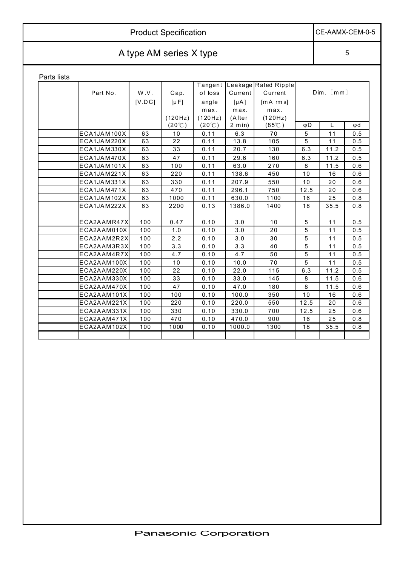| <b>Product Specification</b> | CE-AAMX-CEM-0-5 |
|------------------------------|-----------------|
| A type AM series X type      |                 |

Parts lists

| Parts iists |             |         |                 |                 |                   |                      |      |                    |     |
|-------------|-------------|---------|-----------------|-----------------|-------------------|----------------------|------|--------------------|-----|
|             |             |         |                 | Tangent         |                   | Leakage Rated Ripple |      |                    |     |
|             | Part No.    | W.V.    | Cap.            | of loss         | Current           | Current              |      | Dim. [mm]          |     |
|             |             | [V.D C] | $[\mu F]$       | angle           | $[\mu A]$         | $[mA$ $rm s]$        |      |                    |     |
|             |             |         |                 | max.            | max.              | max.                 |      |                    |     |
|             |             |         | (120Hz)         | (120Hz)         | (After            | (120Hz)              |      |                    |     |
|             |             |         | $(20^{\circ}C)$ | $(20^{\circ}C)$ | $2 \text{ min}$ ) | $(85^{\circ}C)$      | φD   | L                  | φd  |
|             | ECA1JAM100X | 63      | 10              | 0.11            | 6.3               | 70                   | 5    | 11                 | 0.5 |
|             | ECA1JAM220X | 63      | 22              | 0.11            | 13.8              | 105                  | 5    | 11                 | 0.5 |
|             | ECA1JAM330X | 63      | 33              | 0.11            | 20.7              | 130                  | 6.3  | $\overline{1}$ 1.2 | 0.5 |
|             | ECA1JAM470X | 63      | 47              | 0.11            | 29.6              | 160                  | 6.3  | 11.2               | 0.5 |
|             | ECA1JAM101X | 63      | 100             | 0.11            | 63.0              | 270                  | 8    | 11.5               | 0.6 |
|             | ECA1JAM221X | 63      | 220             | 0.11            | 138.6             | 450                  | 10   | 16                 | 0.6 |
|             | ECA1JAM331X | 63      | 330             | 0.11            | 207.9             | 550                  | 10   | 20                 | 0.6 |
|             | ECA1JAM471X | 63      | 470             | 0.11            | 296.1             | 750                  | 12.5 | 20                 | 0.6 |
|             | ECA1JAM102X | 63      | 1000            | 0.11            | 630.0             | 1100                 | 16   | 25                 | 0.8 |
|             | ECA1JAM222X | 63      | 2200            | 0.13            | 1386.0            | 1400                 | 18   | 35.5               | 0.8 |
|             |             |         |                 |                 |                   |                      |      |                    |     |
|             | ECA2AAMR47X | 100     | 0.47            | 0.10            | 3.0               | 10                   | 5    | 11                 | 0.5 |
|             | ECA2AAM010X | 100     | 1.0             | 0.10            | 3.0               | 20                   | 5    | 11                 | 0.5 |
|             | ECA2AAM2R2X | 100     | 2.2             | 0.10            | 3.0               | 30                   | 5    | 11                 | 0.5 |
|             | ECA2AAM3R3X | 100     | 3.3             | 0.10            | 3.3               | 40                   | 5    | 11                 | 0.5 |
|             | ECA2AAM4R7X | 100     | 4.7             | 0.10            | 4.7               | 50                   | 5    | 11                 | 0.5 |
|             | ECA2AAM100X | 100     | 10              | 0.10            | 10.0              | 70                   | 5    | 11                 | 0.5 |
|             | ECA2AAM220X | 100     | 22              | 0.10            | 22.0              | 115                  | 6.3  | 11.2               | 0.5 |
|             | ECA2AAM330X | 100     | 33              | 0.10            | 33.0              | 145                  | 8    | 11.5               | 0.6 |
|             | ECA2AAM470X | 100     | 47              | 0.10            | 47.0              | 180                  | 8    | 11.5               | 0.6 |
|             | ECA2AAM101X | 100     | 100             | 0.10            | 100.0             | 350                  | 10   | 16                 | 0.6 |
|             | ECA2AAM221X | 100     | 220             | 0.10            | 220.0             | 550                  | 12.5 | 20                 | 0.6 |
|             | ECA2AAM331X | 100     | 330             | 0.10            | 330.0             | 700                  | 12.5 | 25                 | 0.6 |
|             | ECA2AAM471X | 100     | 470             | 0.10            | 470.0             | 900                  | 16   | 25                 | 0.8 |
|             | ECA2AAM102X | 100     | 1000            | 0.10            | 1000.0            | 1300                 | 18   | 35.5               | 0.8 |
|             |             |         |                 |                 |                   |                      |      |                    |     |
|             |             |         |                 |                 |                   |                      |      |                    |     |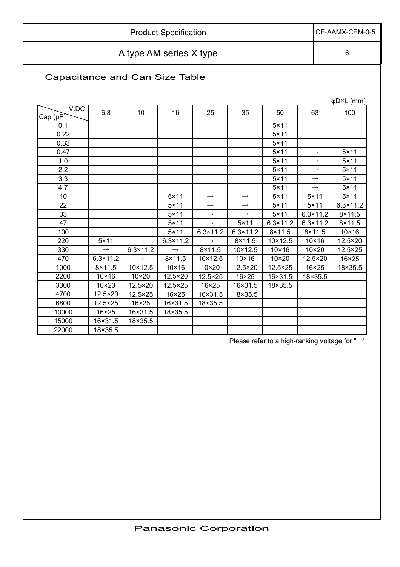Product Specification CE-AAMX-CEM-0-5 A type AM series X type **6** Capacitance and Can Size Table

|                  |                   |                   |                   |                   |                   |                   |                   | φD×L [mm]         |
|------------------|-------------------|-------------------|-------------------|-------------------|-------------------|-------------------|-------------------|-------------------|
| V.DC<br>Cap (µF) | 6.3               | 10                | 16                | 25                | 35                | 50                | 63                | 100               |
| 0.1              |                   |                   |                   |                   |                   | $5 \times 11$     |                   |                   |
| 0.22             |                   |                   |                   |                   |                   | $5 \times 11$     |                   |                   |
| 0.33             |                   |                   |                   |                   |                   | $5 \times 11$     |                   |                   |
| 0.47             |                   |                   |                   |                   |                   | $5 \times 11$     | $\longrightarrow$ | $5 \times 11$     |
| 1.0              |                   |                   |                   |                   |                   | $5 \times 11$     | $\longrightarrow$ | $5 \times 11$     |
| 2.2              |                   |                   |                   |                   |                   | $5 \times 11$     | $\longrightarrow$ | $5 \times 11$     |
| 3.3              |                   |                   |                   |                   |                   | $5 \times 11$     | $\longrightarrow$ | $5 \times 11$     |
| 4.7              |                   |                   |                   |                   |                   | $5 \times 11$     | $\longrightarrow$ | $5 \times 11$     |
| 10               |                   |                   | $5 \times 11$     | $\rightarrow$     | $\longrightarrow$ | $5 \times 11$     | $5 \times 11$     | $5 \times 11$     |
| 22               |                   |                   | $5 \times 11$     | $\rightarrow$     | $\longrightarrow$ | $5 \times 11$     | $5 \times 11$     | $6.3 \times 11.2$ |
| 33               |                   |                   | $5 \times 11$     | $\rightarrow$     | $\longrightarrow$ | $5 \times 11$     | $6.3 \times 11.2$ | $8 \times 11.5$   |
| 47               |                   |                   | $5 \times 11$     | $\longrightarrow$ | $5 \times 11$     | $6.3 \times 11.2$ | $6.3 \times 11.2$ | $8 \times 11.5$   |
| 100              |                   |                   | $5 \times 11$     | $6.3 \times 11.2$ | $6.3 \times 11.2$ | $8 \times 11.5$   | $8 \times 11.5$   | $10 \times 16$    |
| 220              | $5 \times 11$     | $\rightarrow$     | $6.3 \times 11.2$ | $\rightarrow$     | $8 \times 11.5$   | $10 \times 12.5$  | $10 \times 16$    | 12.5×20           |
| 330              | $\longrightarrow$ | $6.3 \times 11.2$ | $\rightarrow$     | $8 \times 11.5$   | 10×12.5           | $10 \times 16$    | $10\times20$      | $12.5 \times 25$  |
| 470              | $6.3 \times 11.2$ | $\rightarrow$     | $8 \times 11.5$   | $10 \times 12.5$  | $10 \times 16$    | $10\times 20$     | 12.5×20           | 16×25             |
| 1000             | $8 \times 11.5$   | $10 \times 12.5$  | $10 \times 16$    | $10\times20$      | 12.5×20           | 12.5×25           | $16 \times 25$    | 18×35.5           |
| 2200             | $10 \times 16$    | $10 \times 20$    | 12.5×20           | 12.5×25           | 16×25             | 16×31.5           | 18×35.5           |                   |
| 3300             | $10 \times 20$    | 12.5×20           | 12.5×25           | 16×25             | 16×31.5           | 18×35.5           |                   |                   |
| 4700             | 12.5×20           | $12.5 \times 25$  | $16 \times 25$    | 16×31.5           | 18×35.5           |                   |                   |                   |
| 6800             | $12.5 \times 25$  | 16×25             | 16×31.5           | 18×35.5           |                   |                   |                   |                   |
| 10000            | $16 \times 25$    | 16×31.5           | 18×35.5           |                   |                   |                   |                   |                   |
| 15000            | 16×31.5           | 18×35.5           |                   |                   |                   |                   |                   |                   |
| 22000            | 18×35.5           |                   |                   |                   |                   |                   |                   |                   |

Please refer to a high-ranking voltage for " $\rightarrow$ "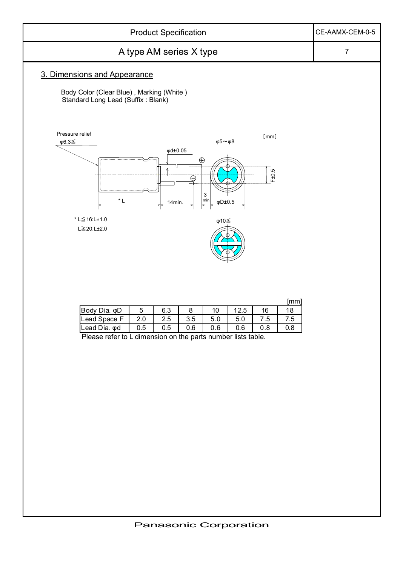

| Body<br>Dia. φD |     | 6.3 |     |      | 2.5  | 16 |  |
|-----------------|-----|-----|-----|------|------|----|--|
| Lead Space      | 2.0 | 2.5 | 3.5 | IJ.U | -5.C |    |  |
| Lead Dia. od    | 0.5 | 0.5 | 0.6 | 0.6  | 0.6  |    |  |

Please refer to L dimension on the parts number lists table.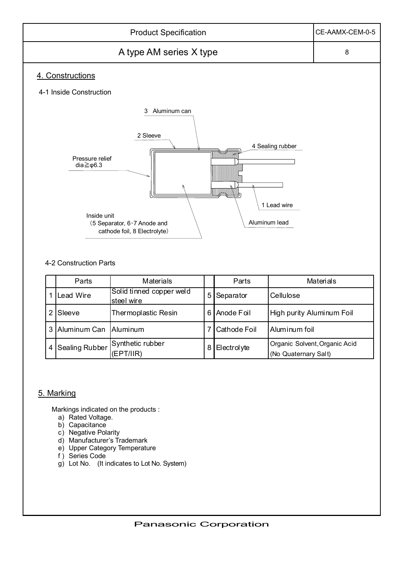

### 4-2 Construction Parts

|   | Parts          | <b>Materials</b>                       |                | Parts        | Materials                                             |
|---|----------------|----------------------------------------|----------------|--------------|-------------------------------------------------------|
|   | Lead Wire      | Solid tinned copper weld<br>steel wire | 5 <sub>l</sub> | Separator    | Cellulose                                             |
|   | Sleeve         | Thermoplastic Resin                    | 6              | Anode Foil   | High purity Aluminum Foil                             |
|   | Aluminum Can   | Aluminum                               |                | Cathode Foil | Aluminum foil                                         |
| 4 | Sealing Rubber | Synthetic rubber<br>(EPT/IR)           | 8              | Electrolyte  | Organic Solvent, Organic Acid<br>(No Quaternary Salt) |

### 5. Marking

Markings indicated on the products :

- a) Rated Voltage.
- b) Capacitance
- c) Negative Polarity
- d) Manufacturer's Trademark
- e) Upper Category Temperature
- f) Series Code
- g) Lot No. (It indicates to Lot No. System)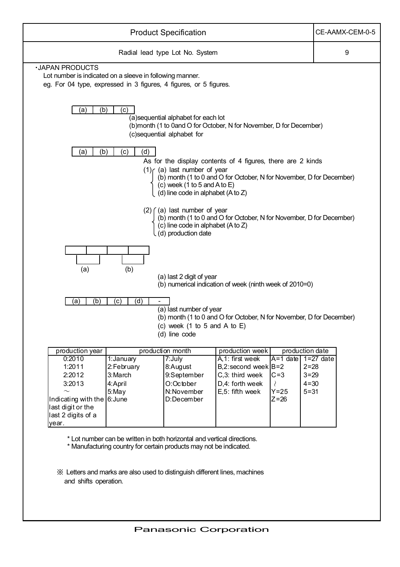|                                                                                                                                                         |                                   | <b>Product Specification</b>                                                                          |                                                                                                                                     |                        |          | CE-AAMX-CEM-0-5 |
|---------------------------------------------------------------------------------------------------------------------------------------------------------|-----------------------------------|-------------------------------------------------------------------------------------------------------|-------------------------------------------------------------------------------------------------------------------------------------|------------------------|----------|-----------------|
|                                                                                                                                                         |                                   | Radial lead type Lot No. System                                                                       |                                                                                                                                     |                        |          | 9               |
| <b>.JAPAN PRODUCTS</b><br>Lot number is indicated on a sleeve in following manner.<br>eg. For 04 type, expressed in 3 figures, 4 figures, or 5 figures. |                                   |                                                                                                       |                                                                                                                                     |                        |          |                 |
| (b)<br>(a)                                                                                                                                              | (c)                               | (a) sequential alphabet for each lot<br>(c)sequential alphabet for                                    | (b)month (1 to 0and O for October, N for November, D for December)                                                                  |                        |          |                 |
| (a)<br>(b)                                                                                                                                              | (c)<br>(d)                        | $(1)$ (a) last number of year<br>$(c)$ week (1 to 5 and A to E)<br>(d) line code in alphabet (A to Z) | As for the display contents of 4 figures, there are 2 kinds<br>(b) month (1 to 0 and O for October, N for November, D for December) |                        |          |                 |
|                                                                                                                                                         |                                   | $(2)$ $($ a) last number of year<br>(c) line code in alphabet (A to Z)<br>(d) production date         | (b) month (1 to 0 and O for October, N for November, D for December)                                                                |                        |          |                 |
| (a)                                                                                                                                                     | (b)                               | (a) last 2 digit of year                                                                              | (b) numerical indication of week (ninth week of 2010=0)                                                                             |                        |          |                 |
| (a)<br>(b)                                                                                                                                              | (d)<br>$\left( \mathrm{c}\right)$ | (a) last number of year<br>(c) week (1 to 5 and A to $E$ )<br>(d) line code                           | (b) month (1 to 0 and O for October, N for November, D for December)                                                                |                        |          |                 |
| production year                                                                                                                                         |                                   | production month                                                                                      | production week                                                                                                                     | production date        |          |                 |
| 0:2010<br>1:2011                                                                                                                                        | 1: January<br>2:February          | 7:July<br>8:August                                                                                    | A.1: first week<br>B,2:second week $B=2$                                                                                            | $A=1$ date $1=27$ date | $2 = 28$ |                 |
| 2:2012                                                                                                                                                  | 3:March                           | 9:September                                                                                           | C,3: third week                                                                                                                     | $C=3$                  | $3 = 29$ |                 |
| 3:2013                                                                                                                                                  | 4: April                          | O:October                                                                                             | D,4: forth week                                                                                                                     |                        | $4 = 30$ |                 |
|                                                                                                                                                         | 5:May                             | N:November                                                                                            | E,5: fifth week                                                                                                                     | $Y = 25$               | $5 = 31$ |                 |
| Indicating with the 6: June<br>last digit or the<br>last 2 digits of a<br>year.                                                                         |                                   | D:December                                                                                            |                                                                                                                                     | $Z = 26$               |          |                 |

\* Lot number can be written in both horizontal and vertical directions.

\* Manufacturing country for certain products may not be indicated.

㶎 Letters and marks are also used to distinguish different lines, machines and shifts operation.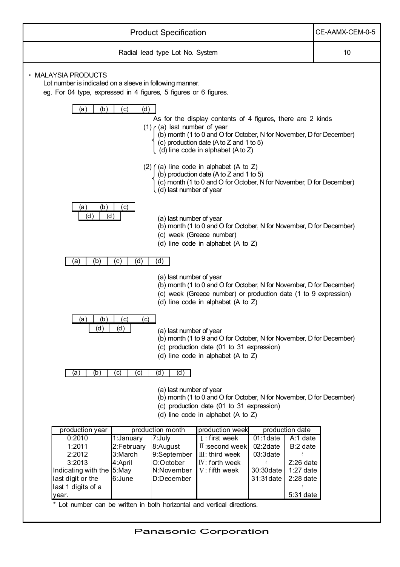| <b>Product Specification</b>                                                                                                                                                                                                                                                                                                                                                                                                                                              | CE-AAMX-CEM-0-5 |
|---------------------------------------------------------------------------------------------------------------------------------------------------------------------------------------------------------------------------------------------------------------------------------------------------------------------------------------------------------------------------------------------------------------------------------------------------------------------------|-----------------|
| Radial lead type Lot No. System                                                                                                                                                                                                                                                                                                                                                                                                                                           | 10              |
| · MALAYSIA PRODUCTS<br>Lot number is indicated on a sleeve in following manner.<br>eg. For 04 type, expressed in 4 figures, 5 figures or 6 figures.                                                                                                                                                                                                                                                                                                                       |                 |
| (a)<br>(b)<br>(c)<br>(d)<br>As for the display contents of 4 figures, there are 2 kinds<br>$(1)$ (a) last number of year<br>(b) month (1 to 0 and O for October, N for November, D for December)<br>(c) production date (A to Z and 1 to 5)<br>(d) line code in alphabet (A to Z)                                                                                                                                                                                         |                 |
| $(2)$ $($ (a) line code in alphabet (A to Z)<br>(b) production date $(A \text{ to } Z \text{ and } 1 \text{ to } 5)$<br>(c) month (1 to 0 and O for October, N for November, D for December)<br>(d) last number of year                                                                                                                                                                                                                                                   |                 |
| (b)<br>(a)<br>(c)<br>(d )<br>(d)<br>(a) last number of year<br>(b) month (1 to 0 and O for October, N for November, D for December)<br>(c) week (Greece number)<br>(d) line code in alphabet (A to $Z$ )                                                                                                                                                                                                                                                                  |                 |
| (b)<br>(d)<br>(d)<br>(c)<br>(a)                                                                                                                                                                                                                                                                                                                                                                                                                                           |                 |
| (a) last number of year<br>(b) month (1 to 0 and O for October, N for November, D for December)<br>(c) week (Greece number) or production date (1 to 9 expression)<br>(d) line code in alphabet (A to $Z$ )                                                                                                                                                                                                                                                               |                 |
| (a)<br>(b)<br>$\left( c\right)$<br>(c)<br>(d)<br>(d)<br>(a) last number of year<br>(b) month (1 to 9 and O for October, N for November, D for December)<br>(c) production date (01 to 31 expression)<br>(d) line code in alphabet (A to Z)                                                                                                                                                                                                                                |                 |
| (d)<br>(b)<br>(d)<br>(a)<br>(c)<br>(c)                                                                                                                                                                                                                                                                                                                                                                                                                                    |                 |
| (a) last number of year<br>(b) month (1 to 0 and O for October, N for November, D for December)<br>(c) production date (01 to 31 expression)<br>(d) line code in alphabet (A to $Z$ )                                                                                                                                                                                                                                                                                     |                 |
| production month<br>production week<br>production date<br>production year                                                                                                                                                                                                                                                                                                                                                                                                 |                 |
| $7:$ July<br>A:1 date<br>0:2010<br>1:January<br>I: first week<br>$01:1$ date<br>2:February<br>8:August<br>$02:2$ date<br>1:2011<br>$II:$ second week<br>B:2 date<br>2:2012<br>3:March<br>9:September<br>$III:$ third week<br>03:3date<br>3:2013<br>4:April<br>O:October<br>IV: forth week<br>Z:26 date<br>Indicating with the 5:May<br>N:November<br>V: fifth week<br>$1:27$ date<br>30:30 date<br>6:June<br>D:December<br>31:31 date<br>$2:28$ date<br>last digit or the |                 |
| last 1 digits of a<br>$5:31$ date<br>year.                                                                                                                                                                                                                                                                                                                                                                                                                                |                 |
| * Lot number can be written in both horizontal and vertical directions.                                                                                                                                                                                                                                                                                                                                                                                                   |                 |

 $\overline{\phantom{a}}$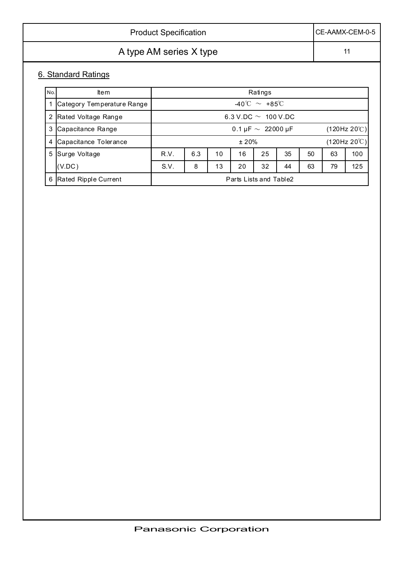| <b>Product Specification</b> | CE-AAMX-CEM-0-5 |
|------------------------------|-----------------|
| A type AM series X type      | 11              |
| 6. Standard Ratings          |                 |

| No. | <b>Item</b>                |                                                        | Ratings |  |  |  |  |  |  |
|-----|----------------------------|--------------------------------------------------------|---------|--|--|--|--|--|--|
|     | Category Temperature Range | $-40^{\circ}$ C $\sim +85^{\circ}$ C                   |         |  |  |  |  |  |  |
|     | 2 Rated Voltage Range      | 6.3 V.DC $\sim 100$ V.DC                               |         |  |  |  |  |  |  |
|     | 3 Capacitance Range        | (120Hz 20°C)<br>0.1 µF $\sim 22000$ µF                 |         |  |  |  |  |  |  |
| 4   | Capacitance Tolerance      | $(120$ Hz 20 $°C)$<br>±20%                             |         |  |  |  |  |  |  |
|     | 5 Surge Voltage            | 35<br>R.V.<br>6.3<br>16<br>25<br>63<br>100<br>10<br>50 |         |  |  |  |  |  |  |
|     | (V.DC)                     | S.V.<br>32<br>125<br>20<br>44<br>8<br>13<br>63<br>79   |         |  |  |  |  |  |  |
|     | 6 Rated Ripple Current     | Parts Lists and Table2                                 |         |  |  |  |  |  |  |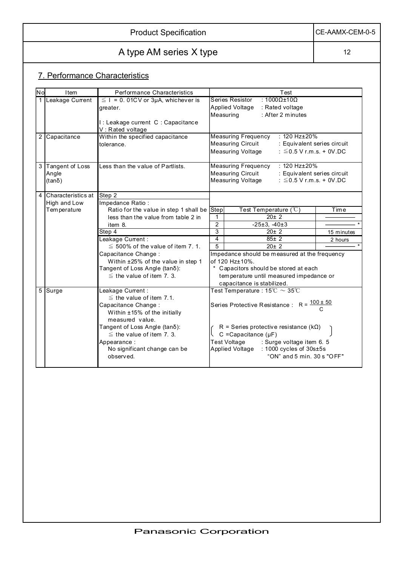| <b>Product Specification</b> | CE-AAMX-CEM-0-5 |
|------------------------------|-----------------|
|------------------------------|-----------------|

# A type AM series X type 12

## 7. Performance Characteristics

| No | Item                 | Performance Characteristics                                   |                | Test                                                                                |            |
|----|----------------------|---------------------------------------------------------------|----------------|-------------------------------------------------------------------------------------|------------|
|    | Leakage Current      | $\leq$ 1 = 0.01CV or 3µA, whichever is<br>greater.            |                | $:1000\Omega \pm 10\Omega$<br>Series Resistor<br>Applied Voltage<br>: Rated voltage |            |
|    |                      |                                                               |                | Measuring<br>: After 2 minutes                                                      |            |
|    |                      | I : Leakage current C : Capacitance<br>V: Rated voltage       |                |                                                                                     |            |
|    | 2 Capacitance        | Within the specified capacitance                              |                | <b>Measuring Frequency</b><br>: 120 Hz±20%                                          |            |
|    |                      | tolerance.                                                    |                | <b>Measuring Circuit</b><br>: Equivalent series circuit                             |            |
|    |                      |                                                               |                | <b>Measuring Voltage</b><br>: $\leq$ 0.5 V r.m.s. + 0V.DC                           |            |
| 3  | Tangent of Loss      | Less than the value of Partlists.                             |                | : 120 Hz±20%<br><b>Measuring Frequency</b>                                          |            |
|    | Angle                |                                                               |                | <b>Measuring Circuit</b><br>: Equivalent series circuit                             |            |
|    | $(tan\delta)$        |                                                               |                | <b>Measuring Voltage</b><br>: $\leq$ 0.5 V r.m.s. + 0V.DC                           |            |
|    | 4 Characteristics at | Step 2                                                        |                |                                                                                     |            |
|    | High and Low         | Impedance Ratio:                                              |                |                                                                                     |            |
|    | Tem perature         | Ratio for the value in step 1 shall be Step                   |                | Test Temperature $(^{\circ}C)$                                                      | Time       |
|    |                      | less than the value from table 2 in                           | 1              | $20 \pm 2$                                                                          |            |
|    |                      | item 8.                                                       | $\overline{2}$ | $-25 \pm 3$ . $-40 \pm 3$                                                           |            |
|    |                      | Step 4                                                        | 3              | 20±2                                                                                | 15 minutes |
|    |                      | Leakage Current:                                              | $\overline{4}$ | $85 \pm 2$                                                                          | 2 hours    |
|    |                      | $\leq$ 500% of the value of item 7.1.                         | 5              | $20 \pm 2$                                                                          |            |
|    |                      | Capacitance Change:                                           |                | Impedance should be measured at the frequency                                       |            |
|    |                      | Within ±25% of the value in step 1                            |                | of 120 Hz±10%.                                                                      |            |
|    |                      | Tangent of Loss Angle (tanδ):                                 |                | * Capacitors should be stored at each                                               |            |
|    |                      | $\le$ the value of item 7. 3.                                 |                | temperature until measured impedance or                                             |            |
|    |                      |                                                               |                | capacitance is stabilized.                                                          |            |
|    | 5 Surge              | Leakage Current:                                              |                | Test Temperature : $15^{\circ}\text{C} \sim 35^{\circ}\text{C}$                     |            |
|    |                      | $\leq$ the value of item 7.1.                                 |                |                                                                                     |            |
|    |                      | Capacitance Change:                                           |                | Series Protective Resistance : R = $\frac{100 \pm 50}{C}$                           |            |
|    |                      | Within ±15% of the initially                                  |                |                                                                                     |            |
|    |                      | measured value.                                               |                |                                                                                     |            |
|    |                      | Tangent of Loss Angle (tanδ):<br>$\le$ the value of item 7.3. |                | R = Series protective resistance ( $k\Omega$ )<br>C = Capacitance $(\mu F)$         |            |
|    |                      | Appearance:                                                   |                | <b>Test Voltage</b>                                                                 |            |
|    |                      | No significant change can be                                  |                | : Surge voltage item 6. 5<br>Applied Voltage : 1000 cycles of 30s±5s                |            |
|    |                      | observed.                                                     |                | "ON" and 5 min. 30 s "OFF"                                                          |            |
|    |                      |                                                               |                |                                                                                     |            |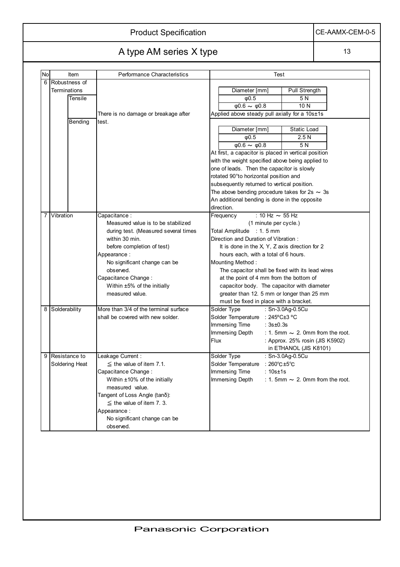|  | Product Specification |
|--|-----------------------|
|--|-----------------------|

CE-AAMX-CEM-0-5

# A type AM series X type 13

| No | Item                               | <b>Performance Characteristics</b>          | <b>Test</b>                                                                                 |  |  |  |  |
|----|------------------------------------|---------------------------------------------|---------------------------------------------------------------------------------------------|--|--|--|--|
| 6  | Robustness of                      |                                             |                                                                                             |  |  |  |  |
|    | <b>Terminations</b>                |                                             | Diameter [mm]<br>Pull Strength                                                              |  |  |  |  |
|    | Tensile                            |                                             | $\phi$ 0.5<br>5N                                                                            |  |  |  |  |
|    |                                    |                                             | 10N<br>$\phi$ 0.6 $\sim \phi$ 0.8                                                           |  |  |  |  |
|    |                                    | There is no damage or breakage after        | Applied above steady pull axially for a 10s±1s                                              |  |  |  |  |
|    | Bending<br>test.                   |                                             |                                                                                             |  |  |  |  |
|    |                                    |                                             | Diameter [mm]<br>Static Load                                                                |  |  |  |  |
|    |                                    |                                             | 2.5N<br>$\phi$ 0.5                                                                          |  |  |  |  |
|    |                                    |                                             | $\phi$ 0.6 $\sim \phi$ 0.8<br>5 N                                                           |  |  |  |  |
|    |                                    |                                             | At first, a capacitor is placed in vertical position                                        |  |  |  |  |
|    |                                    |                                             | with the weight specified above being applied to                                            |  |  |  |  |
|    |                                    |                                             | one of leads. Then the capacitor is slowly                                                  |  |  |  |  |
|    |                                    |                                             | rotated 90°to horizontal position and                                                       |  |  |  |  |
|    |                                    |                                             | subsequently returned to vertical position.                                                 |  |  |  |  |
|    |                                    |                                             | The above bending procedure takes for 2s $\sim$ 3s                                          |  |  |  |  |
|    |                                    |                                             | An additional bending is done in the opposite                                               |  |  |  |  |
|    |                                    |                                             | direction.                                                                                  |  |  |  |  |
| 7  | Vibration                          | Capacitance:                                | : 10 Hz $\sim$ 55 Hz<br>Frequency                                                           |  |  |  |  |
|    | Measured value is to be stabilized |                                             | (1 minute per cycle.)                                                                       |  |  |  |  |
|    |                                    | during test. (Measured several times        | Total Amplitude : 1.5 mm                                                                    |  |  |  |  |
|    |                                    | within 30 min.                              | Direction and Duration of Vibration:                                                        |  |  |  |  |
|    |                                    | before completion of test)                  | It is done in the X, Y, Z axis direction for 2                                              |  |  |  |  |
|    |                                    | Appearance:<br>No significant change can be | hours each, with a total of 6 hours.<br>Mounting Method:                                    |  |  |  |  |
|    |                                    | observed.                                   |                                                                                             |  |  |  |  |
|    |                                    | Capacitance Change:                         | The capacitor shall be fixed with its lead wires<br>at the point of 4 mm from the bottom of |  |  |  |  |
|    |                                    | Within $\pm 5\%$ of the initially           | capacitor body. The capacitor with diameter                                                 |  |  |  |  |
|    |                                    | measured value.                             | greater than 12. 5 mm or longer than 25 mm                                                  |  |  |  |  |
|    |                                    |                                             | must be fixed in place with a bracket.                                                      |  |  |  |  |
| 8  | Solderability                      | More than 3/4 of the terminal surface       | Solder Type<br>: Sn-3.0Ag-0.5Cu                                                             |  |  |  |  |
|    |                                    | shall be covered with new solder.           | Solder Temperature : 245°C±3 °C                                                             |  |  |  |  |
|    |                                    |                                             | Immersing Time<br>: $3s \pm 0.3s$                                                           |  |  |  |  |
|    |                                    |                                             | Immersing Depth<br>: 1. 5mm $\sim$ 2. 0mm from the root.                                    |  |  |  |  |
|    |                                    |                                             | Flux<br>: Approx. 25% rosin (JIS K5902)                                                     |  |  |  |  |
|    |                                    |                                             | in ETHANOL (JIS K8101)                                                                      |  |  |  |  |
| 9  | Resistance to                      | Leakage Current:                            | Solder Type<br>: Sn-3.0Ag-0.5Cu                                                             |  |  |  |  |
|    | Soldering Heat                     | $\le$ the value of item 7.1.                | Solder Temperature : 260°C±5°C                                                              |  |  |  |  |
|    |                                    | Capacitance Change:                         | Immersing Time : 10s±1s                                                                     |  |  |  |  |
|    |                                    | Within ±10% of the initially                | Immersing Depth<br>: 1. 5mm $\sim$ 2. 0mm from the root.                                    |  |  |  |  |
|    |                                    | measured value.                             |                                                                                             |  |  |  |  |
|    |                                    | Tangent of Loss Angle (tanδ):               |                                                                                             |  |  |  |  |
|    |                                    | $\le$ the value of item 7.3.                |                                                                                             |  |  |  |  |
|    |                                    | Appearance:                                 |                                                                                             |  |  |  |  |
|    |                                    | No significant change can be                |                                                                                             |  |  |  |  |
|    |                                    | observed.                                   |                                                                                             |  |  |  |  |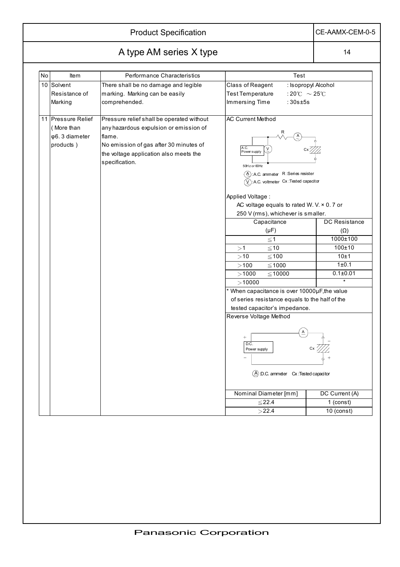## Product Specification CE-AAMX-CEM-0-5

# A type AM series X type 14

| No | <b>Item</b>        | Performance Characteristics                                                                        | Test                                             |                     |  |  |
|----|--------------------|----------------------------------------------------------------------------------------------------|--------------------------------------------------|---------------------|--|--|
|    | 10 Solvent         | There shall be no damage and legible                                                               | Class of Reagent                                 | : Isopropyl Alcohol |  |  |
|    | Resistance of      | marking. Marking can be easily                                                                     | <b>Test Temperature</b><br>:20°C $\sim$ 25°C     |                     |  |  |
|    | Marking            | comprehended.                                                                                      | Immersing Time<br>:30s±5s                        |                     |  |  |
|    | 11 Pressure Relief | Pressure relief shall be operated without                                                          | <b>AC Current Method</b>                         |                     |  |  |
|    | (More than         | any hazardous expulsion or emission of                                                             |                                                  |                     |  |  |
|    | φ6.3 diameter      | flame.                                                                                             |                                                  |                     |  |  |
|    | products)          | No emission of gas after 30 minutes of<br>the voltage application also meets the<br>specification. | A.C.<br>Power supply<br>50Hz or 60Hz             |                     |  |  |
|    |                    | $(A)$ : A.C. ammeter R: Series resister                                                            |                                                  |                     |  |  |
|    |                    | $(\widehat{V})$ : A.C. voltmeter Cx : Tested capacitor                                             |                                                  |                     |  |  |
|    |                    |                                                                                                    | Applied Voltage:                                 |                     |  |  |
|    |                    |                                                                                                    | AC voltage equals to rated W. V. $\times$ 0.7 or |                     |  |  |
|    |                    |                                                                                                    | 250 V (rms), whichever is smaller.               |                     |  |  |
|    |                    |                                                                                                    | Capacitance                                      | DC Resistance       |  |  |
|    |                    |                                                                                                    | $(\mu F)$                                        | $(\Omega)$          |  |  |
|    |                    |                                                                                                    | $\leq$ 1                                         | 1000±100            |  |  |
|    |                    |                                                                                                    | $\leq 10$<br>>1                                  | $100\pm10$          |  |  |
|    |                    |                                                                                                    | $≤ 100$<br>>10                                   | 10±1                |  |  |
|    |                    |                                                                                                    | $>\!100$<br>$≤ 1000$                             | 1±0.1               |  |  |
|    |                    |                                                                                                    | >1000<br>$\leq 10000$                            | $0.1 \pm 0.01$      |  |  |
|    |                    |                                                                                                    | >10000                                           | $\star$             |  |  |
|    |                    |                                                                                                    | * When capacitance is over 10000µF, the value    |                     |  |  |
|    |                    |                                                                                                    | of series resistance equals to the half of the   |                     |  |  |
|    |                    |                                                                                                    | tested capacitor's impedance.                    |                     |  |  |
|    |                    |                                                                                                    | Reverse Voltage Method                           |                     |  |  |
|    |                    |                                                                                                    | $^{+}$<br>D.C.<br>Power supply                   |                     |  |  |
|    |                    |                                                                                                    |                                                  |                     |  |  |
|    |                    |                                                                                                    | $\widehat{A}$ :D.C. ammeter Cx:Tested capacitor  |                     |  |  |
|    |                    |                                                                                                    | Nominal Diameter [mm]                            | DC Current (A)      |  |  |
|    |                    |                                                                                                    | $≤ 22.4$                                         | $1$ (const)         |  |  |
|    |                    |                                                                                                    | >22.4                                            | 10 (const)          |  |  |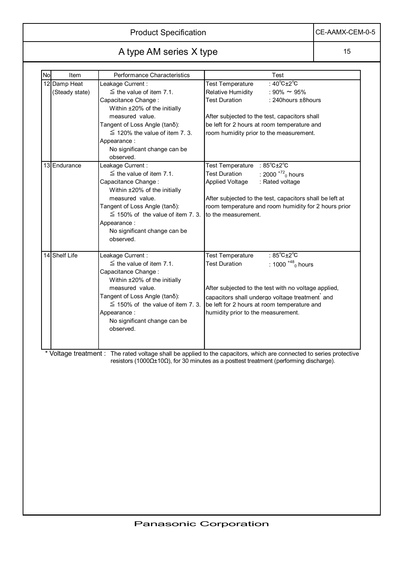Product Specification CE-AAMX-CEM-0-5

# A type AM series X type 15

| I | ÷ |
|---|---|
|   |   |

| <b>No</b> | Item           | Performance Characteristics           | Test                                                                                                                 |
|-----------|----------------|---------------------------------------|----------------------------------------------------------------------------------------------------------------------|
|           | 12 Damp Heat   | Leakage Current:                      | : 40°C±2°C<br><b>Test Temperature</b>                                                                                |
|           | (Steady state) | $\leq$ the value of item 7.1.         | Relative Humidity<br>: 90% $\sim$ 95%                                                                                |
|           |                | Capacitance Change:                   | <b>Test Duration</b><br>$: 240$ hours $\pm$ 8hours                                                                   |
|           |                | Within ±20% of the initially          |                                                                                                                      |
|           |                | measured value.                       | After subjected to the test, capacitors shall                                                                        |
|           |                | Tangent of Loss Angle (tanδ):         | be left for 2 hours at room temperature and                                                                          |
|           |                | $\leq$ 120% the value of item 7.3.    | room humidity prior to the measurement.                                                                              |
|           |                | Appearance:                           |                                                                                                                      |
|           |                | No significant change can be          |                                                                                                                      |
|           |                | observed.                             |                                                                                                                      |
|           | 13 Endurance   | Leakage Current:                      | Test Temperature : 85°C±2°C                                                                                          |
|           |                | $\le$ the value of item 7.1.          | <b>Test Duration</b><br>: 2000 $^{+72}$ <sub>0</sub> hours                                                           |
|           |                | Capacitance Change:                   | <b>Applied Voltage</b><br>: Rated voltage                                                                            |
|           |                | Within ±20% of the initially          |                                                                                                                      |
|           |                |                                       |                                                                                                                      |
|           |                | measured value.                       | After subjected to the test, capacitors shall be left at                                                             |
|           |                | Tangent of Loss Angle (tanδ):         | room temperature and room humidity for 2 hours prior                                                                 |
|           |                | $\leq$ 150% of the value of item 7.3. | to the measurement.                                                                                                  |
|           |                | Appearance:                           |                                                                                                                      |
|           |                | No significant change can be          |                                                                                                                      |
|           |                | observed.                             |                                                                                                                      |
|           |                |                                       |                                                                                                                      |
|           | 14 Shelf Life  | Leakage Current:                      | <b>Test Temperature</b><br>: $85^{\circ}$ C $\pm 2^{\circ}$ C                                                        |
|           |                | $\leq$ the value of item 7.1.         | : 1000 $^{+48}$ <sub>0</sub> hours<br><b>Test Duration</b>                                                           |
|           |                | Capacitance Change:                   |                                                                                                                      |
|           |                | Within ±20% of the initially          |                                                                                                                      |
|           |                | measured value.                       | After subjected to the test with no voltage applied,                                                                 |
|           |                | Tangent of Loss Angle (tanδ):         | capacitors shall undergo voltage treatment and                                                                       |
|           |                | $\leq$ 150% of the value of item 7.3. | be left for 2 hours at room temperature and                                                                          |
|           |                | Appearance:                           | humidity prior to the measurement.                                                                                   |
|           |                | No significant change can be          |                                                                                                                      |
|           |                | observed.                             |                                                                                                                      |
|           |                |                                       |                                                                                                                      |
|           |                |                                       |                                                                                                                      |
|           |                |                                       | * Voltage treatment : The rated voltage shall be applied to the capacitors, which are connected to series protective |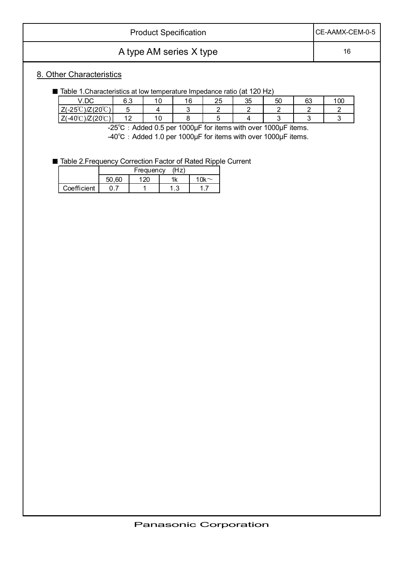| <b>Product Specification</b> | ICE-AAMX-CEM-0-5 |
|------------------------------|------------------|
| A type AM series X type      | 16               |

### 8. Other Characteristics

|  | ■ Table 1. Characteristics at low temperature Impedance ratio (at 120 Hz) |  |  |
|--|---------------------------------------------------------------------------|--|--|
|  |                                                                           |  |  |

|                            | V.DC                               | 6.3                      | 1 ∩<br>. v    | 16 | つに<br>∠J | 35 | 50 | 63 | 100 |
|----------------------------|------------------------------------|--------------------------|---------------|----|----------|----|----|----|-----|
| $Z(-25^{\circ}\mathrm{C})$ | $(200^\circ)$<br>$)Z(20^{\circ}C)$ |                          |               |    |          |    |    |    |     |
| $Z(-40^{\circ}C)$          | $\bigcup$ ) $Z(20^\circ\text{C})$  | $\sqrt{2}$<br>' <u>-</u> | $\sim$<br>. v |    |          |    |    |    |     |

-25°C: Added 0.5 per 1000µF for items with over 1000µF items. -40°C : Added 1.0 per 1000µF for items with over 1000µF items.

■ Table 2. Frequency Correction Factor of Rated Ripple Current

|             | .60<br>50. | $\sim$ 00 $\sim$ | 11,     | 1 N $\sim$ |
|-------------|------------|------------------|---------|------------|
| Coefficient |            |                  | ຼ<br>ن. |            |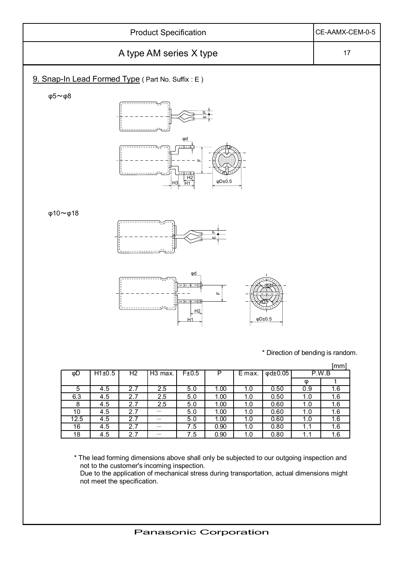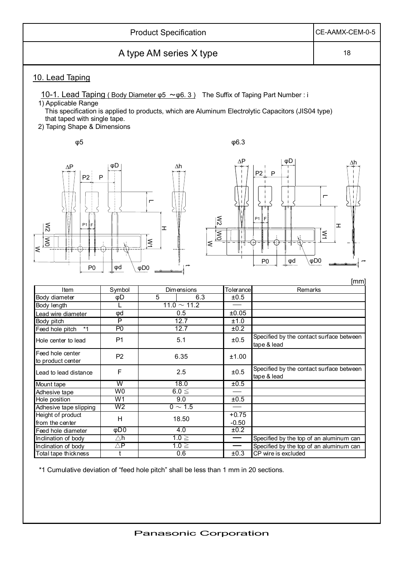|                                                                                                           | CE-AAMX-CEM-0-5          |                                                                                                                             |                                               |                                                                                                                                |
|-----------------------------------------------------------------------------------------------------------|--------------------------|-----------------------------------------------------------------------------------------------------------------------------|-----------------------------------------------|--------------------------------------------------------------------------------------------------------------------------------|
|                                                                                                           | 18                       |                                                                                                                             |                                               |                                                                                                                                |
| 10. Lead Taping                                                                                           |                          |                                                                                                                             |                                               |                                                                                                                                |
| 1) Applicable Range<br>that taped with single tape.<br>2) Taping Shape & Dimensions                       |                          | <u>10-1. Lead Taping (Body Diameter <math>\varphi</math>5 ~<math>\varphi</math>6.3)</u> The Suffix of Taping Part Number: i |                                               | This specification is applied to products, which are Aluminum Electrolytic Capacitors (JIS04 type)                             |
| $\phi$ 5                                                                                                  |                          |                                                                                                                             | $\phi$ 6.3                                    |                                                                                                                                |
| $\Delta P$<br>P2<br>P <sub>1</sub><br>$\mathbb{R}$<br>$\overline{\mathsf{S}}$<br>$\leq$<br>P <sub>0</sub> | φD<br>$\mathsf{P}$<br>φd | $\Delta h$<br>Г<br>I<br>$ \leq$<br>$\leq$<br>$\phi$ DO                                                                      | $\Delta P$<br>$\lesssim$<br>$ \tilde{\delta}$ | φD<br>Δh<br>P2<br>$\mathsf{P}$<br>$\blacksquare$<br>P <sub>1</sub><br>I<br>$\tilde{\leq}$<br>$\phi$ DO<br>φd<br>P <sub>0</sub> |
|                                                                                                           |                          |                                                                                                                             |                                               | [mm                                                                                                                            |
| Item                                                                                                      | Symbol                   | Dimensions<br>5<br>6.3                                                                                                      | Tolerance                                     | Remarks                                                                                                                        |
| Body diameter                                                                                             | φD                       | $11.0 \sim 11.2$                                                                                                            | ±0.5                                          |                                                                                                                                |
| Body length                                                                                               | L                        | 0.5                                                                                                                         | ±0.05                                         |                                                                                                                                |
| Lead wire diameter                                                                                        | φd<br>$\overline{P}$     | 12.7                                                                                                                        |                                               |                                                                                                                                |
| Body pitch                                                                                                | P <sub>0</sub>           | 12.7                                                                                                                        | ±1.0<br>±0.2                                  |                                                                                                                                |
| Feed hole pitch<br>*1<br>Hole center to lead                                                              | P <sub>1</sub>           | 5.1                                                                                                                         | ±0.5                                          | Specified by the contact surface between<br>tape & lead                                                                        |
| Feed hole center<br>to product center                                                                     | P <sub>2</sub>           | 6.35                                                                                                                        | ±1.00                                         |                                                                                                                                |
| Lead to lead distance                                                                                     | $\mathsf F$              | 2.5                                                                                                                         | ±0.5                                          | Specified by the contact surface between<br>tape & lead                                                                        |
| Mount tape                                                                                                | $\overline{\mathsf{W}}$  | 18.0                                                                                                                        | ±0.5                                          |                                                                                                                                |
| Adhesive tape                                                                                             | W <sub>0</sub>           | $\overline{6.0}$ $\leq$                                                                                                     |                                               |                                                                                                                                |
| Hole position                                                                                             | W <sub>1</sub>           | 9.0                                                                                                                         | ±0.5                                          |                                                                                                                                |
| Adhesive tape slipping                                                                                    | W <sub>2</sub>           | $0 \sim 1.5$                                                                                                                |                                               |                                                                                                                                |
| Height of product                                                                                         | H                        | 18.50                                                                                                                       | $+0.75$                                       |                                                                                                                                |
|                                                                                                           |                          |                                                                                                                             | $-0.50$                                       |                                                                                                                                |
| from the center                                                                                           |                          | 4.0                                                                                                                         | ±0.2                                          |                                                                                                                                |
| Feed hole diameter                                                                                        | $\overline{\phi}$ DO     |                                                                                                                             |                                               |                                                                                                                                |
| Inclination of body                                                                                       | $\triangle$ h            | $1.0 \geq$                                                                                                                  | $\hspace{0.05cm}$                             | Specified by the top of an aluminum can                                                                                        |
| Inclination of body<br>Total tape thickness                                                               | $\triangle P$<br>t       | $1.0 \geq$<br>0.6                                                                                                           | ±0.3                                          | Specified by the top of an aluminum can<br>CP wire is excluded                                                                 |

\*1 Cumulative deviation of "feed hole pitch" shall be less than 1 mm in 20 sections.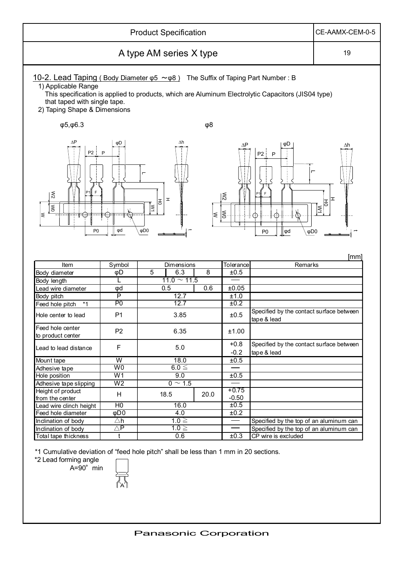|                                                                                                                                                                                                                  | CE-AAMX-CEM-0-5          |                                       |        |                                      |                                                                                                    |                         |
|------------------------------------------------------------------------------------------------------------------------------------------------------------------------------------------------------------------|--------------------------|---------------------------------------|--------|--------------------------------------|----------------------------------------------------------------------------------------------------|-------------------------|
|                                                                                                                                                                                                                  | 19                       |                                       |        |                                      |                                                                                                    |                         |
| <u>10-2. Lead Taping (Body Diameter <math>\varphi</math>5 ~<math>\varphi</math>8)</u> The Suffix of Taping Part Number: B<br>1) Applicable Range<br>that taped with single tape.<br>2) Taping Shape & Dimensions |                          |                                       |        |                                      | This specification is applied to products, which are Aluminum Electrolytic Capacitors (JIS04 type) |                         |
| $\phi$ 5, $\phi$ 6.3                                                                                                                                                                                             |                          |                                       | φ8     |                                      |                                                                                                    |                         |
| $\Delta P$<br>P <sub>2</sub><br>F<br>$\lesssim$<br>0M<br>∣≲<br>P <sub>0</sub>                                                                                                                                    | φD<br>$\mathsf{P}$<br>φd | Δh<br>I<br>동<br>∣≷<br>φD <sub>0</sub> | $\leq$ | ΔΡ<br>$\overline{\approx}$<br>$\leq$ | φD<br>P2<br>P<br>Ĕ<br>Œ<br>Œ<br>φd<br>$\phi$ DO<br>P <sub>0</sub>                                  | Δh<br>ェ<br>동<br>$ \leq$ |
| Item                                                                                                                                                                                                             | Symbol                   | Dimensions                            |        | Tolerance                            | Remarks                                                                                            | [mm]                    |
| Body diameter                                                                                                                                                                                                    | φD                       | 5<br>6.3                              | 8      | ±0.5                                 |                                                                                                    |                         |
|                                                                                                                                                                                                                  | L                        | $11.0 \sim 11.5$                      |        |                                      |                                                                                                    |                         |
| Body length                                                                                                                                                                                                      | Φd                       | 0.5                                   | 0.6    | ±0.05                                |                                                                                                    |                         |
| Lead wire diameter<br>Body pitch                                                                                                                                                                                 | $\overline{P}$           | 12.7                                  |        | ±1.0                                 |                                                                                                    |                         |
| $*1$<br>Feed hole pitch                                                                                                                                                                                          | P <sub>0</sub>           | 12.7                                  |        | ±0.2                                 |                                                                                                    |                         |
| Hole center to lead                                                                                                                                                                                              | P <sub>1</sub>           | 3.85                                  |        | ±0.5                                 | Specified by the contact surface between<br>tape & lead                                            |                         |
| Feed hole center<br>to product center                                                                                                                                                                            | P <sub>2</sub>           | 6.35                                  |        | ±1.00                                |                                                                                                    |                         |
| Lead to lead distance                                                                                                                                                                                            | F                        | 5.0                                   |        | $+0.8$<br>$-0.2$                     | Specified by the contact surface between<br>tape & lead                                            |                         |
| Mount tape                                                                                                                                                                                                       | $\overline{\mathsf{W}}$  | 18.0                                  |        | ±0.5                                 |                                                                                                    |                         |
| Adhesive tape                                                                                                                                                                                                    | W <sub>0</sub>           | $6.0 \leq$                            |        |                                      |                                                                                                    |                         |
| Hole position                                                                                                                                                                                                    | W1                       | 9.0                                   |        | ±0.5                                 |                                                                                                    |                         |
| Adhesive tape slipping                                                                                                                                                                                           | W <sub>2</sub>           | $0 \sim 1.5$                          |        |                                      |                                                                                                    |                         |
| Height of product                                                                                                                                                                                                | H                        | 18.5                                  | 20.0   | $+0.75$                              |                                                                                                    |                         |
| from the center                                                                                                                                                                                                  |                          |                                       |        | $-0.50$                              |                                                                                                    |                         |
| Lead wire clinch height                                                                                                                                                                                          | H <sub>0</sub>           | 16.0                                  |        | ±0.5                                 |                                                                                                    |                         |
| Feed hole diameter                                                                                                                                                                                               | $\overline{\phi}$ DO     | 4.0                                   |        | ±0.2                                 |                                                                                                    |                         |
| Inclination of body                                                                                                                                                                                              | $\triangle$ h            | $1.0 \geq$                            |        |                                      | Specified by the top of an aluminum can                                                            |                         |
| Inclination of body                                                                                                                                                                                              | $\triangle \mathsf{P}$   | $1.0 \geq$                            |        |                                      | Specified by the top of an aluminum can                                                            |                         |
| Total tape thickness                                                                                                                                                                                             | $\mathsf{t}$             | 0.6                                   |        | ±0.3                                 | CP wire is excluded                                                                                |                         |

\*1 Cumulative deviation of "feed hole pitch" shall be less than 1 mm in 20 sections.

\*2 Lead forming angle

A=90㫦min

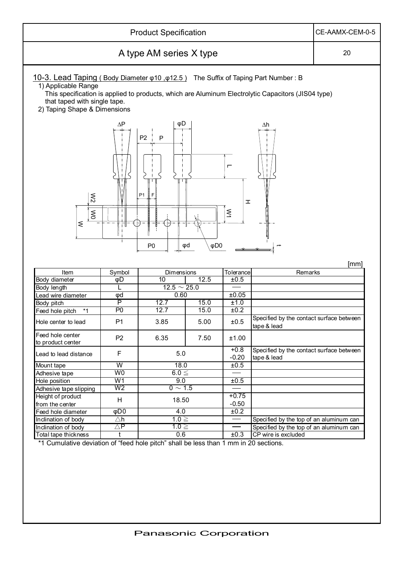| <b>Product Specification</b><br>CE-AAMX-CEM-0-5                                                                                                                                                                      |                                  |                                                  |                 |                                       |                                                                                                    |      |  |  |
|----------------------------------------------------------------------------------------------------------------------------------------------------------------------------------------------------------------------|----------------------------------|--------------------------------------------------|-----------------|---------------------------------------|----------------------------------------------------------------------------------------------------|------|--|--|
| A type AM series X type                                                                                                                                                                                              |                                  |                                                  |                 |                                       |                                                                                                    |      |  |  |
| <u>10-3. Lead Taping (Body Diameter <math>\varphi</math>10, <math>\varphi</math>12.5)</u> The Suffix of Taping Part Number: B<br>1) Applicable Range<br>that taped with single tape.<br>2) Taping Shape & Dimensions |                                  |                                                  |                 |                                       | This specification is applied to products, which are Aluminum Electrolytic Capacitors (JIS04 type) |      |  |  |
| $\lessapprox$<br>$\lesssim$                                                                                                                                                                                          | $\Delta P$                       | φD<br>P <sub>2</sub><br>P<br>P <sub>1</sub><br>F |                 | $\blacksquare$<br>I<br>$\tilde{\leq}$ | Δh                                                                                                 |      |  |  |
| ξ                                                                                                                                                                                                                    |                                  | P <sub>0</sub>                                   | $\phi$ D0<br>φd |                                       |                                                                                                    |      |  |  |
|                                                                                                                                                                                                                      |                                  |                                                  |                 |                                       |                                                                                                    | [mm] |  |  |
| Item                                                                                                                                                                                                                 | Symbol                           | Dimensions                                       |                 | Tolerance                             | Remarks                                                                                            |      |  |  |
| Body diameter                                                                                                                                                                                                        | φD                               | 10                                               | 12.5            | ±0.5                                  |                                                                                                    |      |  |  |
| Body length                                                                                                                                                                                                          | L                                | $12.5 \sim 25.0$                                 |                 |                                       |                                                                                                    |      |  |  |
| Lead wire diameter                                                                                                                                                                                                   | φd                               | 0.60                                             |                 | ±0.05                                 |                                                                                                    |      |  |  |
| Body pitch                                                                                                                                                                                                           | $\overline{P}$                   | 12.7                                             | 15.0            | ±1.0                                  |                                                                                                    |      |  |  |
| $*1$<br>Feed hole pitch<br>Hole center to lead                                                                                                                                                                       | P <sub>0</sub><br>P <sub>1</sub> | 12.7<br>3.85                                     | 15.0<br>5.00    | ±0.2<br>±0.5                          | Specified by the contact surface between<br>tape & lead                                            |      |  |  |
| Feed hole center<br>to product center                                                                                                                                                                                | P <sub>2</sub>                   | 6.35                                             | 7.50            | ±1.00                                 |                                                                                                    |      |  |  |
| Lead to lead distance                                                                                                                                                                                                | $\mathsf F$                      | 5.0                                              |                 | $+0.8$<br>$-0.20$                     | Specified by the contact surface between<br>tape & lead                                            |      |  |  |
| Mount tape                                                                                                                                                                                                           | $\overline{\mathsf{W}}$          | 18.0                                             |                 | ±0.5                                  |                                                                                                    |      |  |  |
| Adhesive tape                                                                                                                                                                                                        | W <sub>0</sub>                   | $6.0 \leq$                                       |                 |                                       |                                                                                                    |      |  |  |
| Hole position                                                                                                                                                                                                        | W <sub>1</sub>                   | 9.0                                              |                 | ±0.5                                  |                                                                                                    |      |  |  |
| Adhesive tape slipping                                                                                                                                                                                               | W <sub>2</sub>                   | $0 \sim 1.5$                                     |                 |                                       |                                                                                                    |      |  |  |
| Height of product                                                                                                                                                                                                    |                                  |                                                  |                 | $+0.75$                               |                                                                                                    |      |  |  |
| from the center                                                                                                                                                                                                      | H                                | 18.50                                            |                 | $-0.50$                               |                                                                                                    |      |  |  |
| Feed hole diameter                                                                                                                                                                                                   | $\overline{\phi}$ DO             | 4.0                                              |                 | ±0.2                                  |                                                                                                    |      |  |  |
| Inclination of body                                                                                                                                                                                                  | $\triangle \mathsf{h}$           | $1.0 \geq$                                       |                 |                                       | Specified by the top of an aluminum can                                                            |      |  |  |
| Inclination of body<br>Total tape thickness                                                                                                                                                                          | $\triangle P$                    | $1.0 \geq$<br>0.6                                |                 | ±0.3                                  | Specified by the top of an aluminum can<br>CP wire is excluded                                     |      |  |  |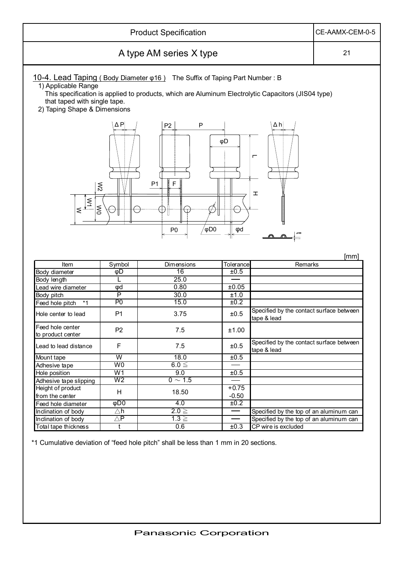| <b>Product Specification</b><br>CE-AAMX-CEM-0-5                                     |                                  |                                                                                    |              |                                                                                                    |      |  |  |  |
|-------------------------------------------------------------------------------------|----------------------------------|------------------------------------------------------------------------------------|--------------|----------------------------------------------------------------------------------------------------|------|--|--|--|
| A type AM series X type                                                             |                                  |                                                                                    |              |                                                                                                    |      |  |  |  |
| 1) Applicable Range<br>that taped with single tape.<br>2) Taping Shape & Dimensions |                                  | 10-4. Lead Taping (Body Diameter $\varphi$ 16) The Suffix of Taping Part Number: B |              | This specification is applied to products, which are Aluminum Electrolytic Capacitors (JIS04 type) |      |  |  |  |
| $\lesssim$<br>$\frac{1}{\sqrt{2}}$<br>$\lesssim$                                    | ΔΡ                               | P<br>P <sub>2</sub><br>F<br>P <sub>1</sub><br>$\phi$ D0<br>P <sub>0</sub>          | φD<br>φd     | $\Delta$ h<br>┍<br>工                                                                               |      |  |  |  |
|                                                                                     |                                  |                                                                                    |              | a.                                                                                                 |      |  |  |  |
|                                                                                     |                                  |                                                                                    |              |                                                                                                    | [mm] |  |  |  |
| Item                                                                                | Symbol                           | Dimensions                                                                         | Tolerance    | Remarks                                                                                            |      |  |  |  |
| Body diameter                                                                       | φD                               | 16                                                                                 | ±0.5         |                                                                                                    |      |  |  |  |
| Body length                                                                         | L                                | 25.0                                                                               |              |                                                                                                    |      |  |  |  |
| Lead wire diameter                                                                  | φd                               | 0.80                                                                               | ±0.05        |                                                                                                    |      |  |  |  |
| Body pitch                                                                          | P                                | 30.0                                                                               | ±1.0         |                                                                                                    |      |  |  |  |
| $*1$<br>Feed hole pitch<br>Hole center to lead                                      | P <sub>0</sub><br>P <sub>1</sub> | 15.0<br>3.75                                                                       | ±0.2<br>±0.5 | Specified by the contact surface between<br>tape & lead                                            |      |  |  |  |
| Feed hole center<br>to product center                                               | P <sub>2</sub>                   | 7.5                                                                                | ±1.00        |                                                                                                    |      |  |  |  |
| Lead to lead distance                                                               | F                                | 7.5                                                                                | ±0.5         | Specified by the contact surface between<br>tape & lead                                            |      |  |  |  |
| Mount tape                                                                          | W                                | 18.0                                                                               | ±0.5         |                                                                                                    |      |  |  |  |
| Adhesive tape                                                                       | W0                               | $6.0 \leq$                                                                         |              |                                                                                                    |      |  |  |  |
| Hole position                                                                       | W1                               | 9.0                                                                                | ±0.5         |                                                                                                    |      |  |  |  |
| Adhesive tape slipping                                                              | W <sub>2</sub>                   | $0 \sim 1.5$                                                                       |              |                                                                                                    |      |  |  |  |
| Height of product                                                                   |                                  |                                                                                    | $+0.75$      |                                                                                                    |      |  |  |  |
| from the center                                                                     | H                                | 18.50                                                                              | $-0.50$      |                                                                                                    |      |  |  |  |
| Feed hole diameter                                                                  | $\overline{\phi}$ DO             | 4.0                                                                                | ±0.2         |                                                                                                    |      |  |  |  |
| Inclination of body                                                                 | $\triangle$ h                    | $2.0 \geq$                                                                         |              | Specified by the top of an aluminum can                                                            |      |  |  |  |
| Inclination of body<br>Total tape thickness                                         | ΔP                               | $1.3 \geq$<br>0.6                                                                  | ±0.3         | Specified by the top of an aluminum can<br>CP wire is excluded                                     |      |  |  |  |

\*1 Cumulative deviation of "feed hole pitch" shall be less than 1 mm in 20 sections.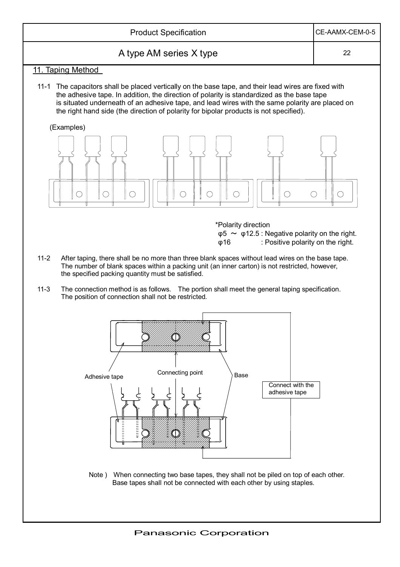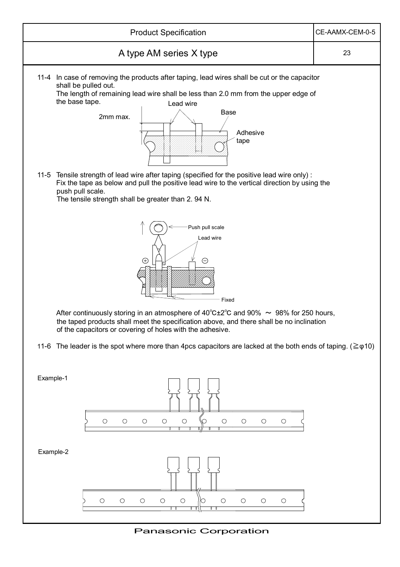

Panasonic Corporation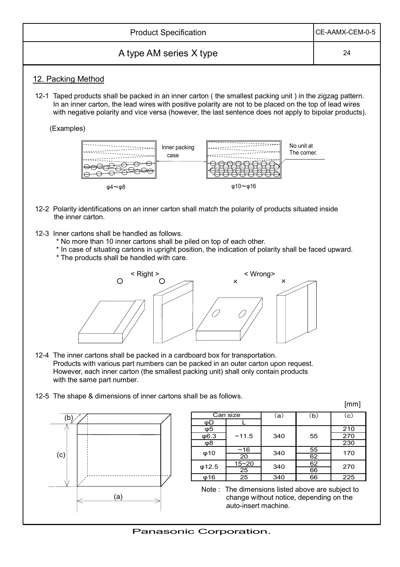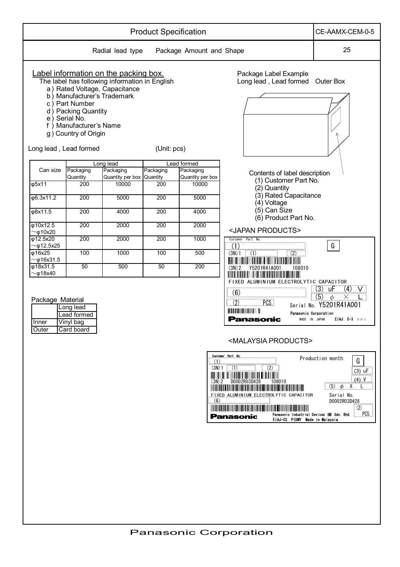|                                            |                                                                                                                                                                   |                                                                                                                          | <b>Product Specification</b> |                          |                                                                                                                                                                                                                                                                                                                                                                                                                                                                                               | CE-AAMX-CEM-0-5                                                                                                                                                                                                               |
|--------------------------------------------|-------------------------------------------------------------------------------------------------------------------------------------------------------------------|--------------------------------------------------------------------------------------------------------------------------|------------------------------|--------------------------|-----------------------------------------------------------------------------------------------------------------------------------------------------------------------------------------------------------------------------------------------------------------------------------------------------------------------------------------------------------------------------------------------------------------------------------------------------------------------------------------------|-------------------------------------------------------------------------------------------------------------------------------------------------------------------------------------------------------------------------------|
|                                            |                                                                                                                                                                   | Radial lead type                                                                                                         |                              | Package Amount and Shape |                                                                                                                                                                                                                                                                                                                                                                                                                                                                                               | 25                                                                                                                                                                                                                            |
|                                            | b) Manufacturer's Trademark<br>c) Part Number<br>d) Packing Quantity<br>e) Serial No.<br>f) Manufacturer's Name<br>g) Country of Origin<br>Long lead, Lead formed | Label information on the packing box.<br>The label has following information in English<br>a) Rated Voltage, Capacitance | (Unit: pcs)                  |                          | Package Label Example<br>Long lead, Lead formed Outer Box                                                                                                                                                                                                                                                                                                                                                                                                                                     |                                                                                                                                                                                                                               |
|                                            |                                                                                                                                                                   | Long lead                                                                                                                |                              | Lead formed              |                                                                                                                                                                                                                                                                                                                                                                                                                                                                                               |                                                                                                                                                                                                                               |
| Can size                                   | Packaging                                                                                                                                                         | Packaging                                                                                                                | Packaging                    | Packaging                | Contents of label description                                                                                                                                                                                                                                                                                                                                                                                                                                                                 |                                                                                                                                                                                                                               |
|                                            | Quantity                                                                                                                                                          | Quantity per box Quantity                                                                                                |                              | Quantity per box         | (1) Customer Part No.                                                                                                                                                                                                                                                                                                                                                                                                                                                                         |                                                                                                                                                                                                                               |
| $\overline{\varphi 5x11}$                  | 200                                                                                                                                                               | 10000                                                                                                                    | $\overline{200}$             | 10000                    | (2) Quantity                                                                                                                                                                                                                                                                                                                                                                                                                                                                                  |                                                                                                                                                                                                                               |
| $\overline{\phi}6.3x11.2$                  | 200                                                                                                                                                               | 5000                                                                                                                     | 200                          | 5000                     | (3) Rated Capacitance                                                                                                                                                                                                                                                                                                                                                                                                                                                                         |                                                                                                                                                                                                                               |
|                                            |                                                                                                                                                                   |                                                                                                                          |                              |                          | (4) Voltage                                                                                                                                                                                                                                                                                                                                                                                                                                                                                   |                                                                                                                                                                                                                               |
| φ8x11.5                                    | 200                                                                                                                                                               | 4000                                                                                                                     | $\overline{200}$             | 4000                     | (5) Can Size<br>(6) Product Part No.                                                                                                                                                                                                                                                                                                                                                                                                                                                          |                                                                                                                                                                                                                               |
| φ10x12.5                                   | 200                                                                                                                                                               | 2000                                                                                                                     | 200                          | 2000                     |                                                                                                                                                                                                                                                                                                                                                                                                                                                                                               |                                                                                                                                                                                                                               |
| $\sim$ $\varphi$ 10x20                     |                                                                                                                                                                   |                                                                                                                          |                              |                          | <japan products=""></japan>                                                                                                                                                                                                                                                                                                                                                                                                                                                                   |                                                                                                                                                                                                                               |
| $\phi$ 12.5x20<br>$\sim$ $\varphi$ 12.5x25 | 200                                                                                                                                                               | 2000                                                                                                                     | $\overline{200}$             | 1000                     | Customer Part No.                                                                                                                                                                                                                                                                                                                                                                                                                                                                             | G                                                                                                                                                                                                                             |
| φ16x25                                     | 100                                                                                                                                                               | 1000                                                                                                                     | 100                          | 500                      | $\frac{(1)}{(3N) 1}$ $\frac{(1)}{(1)}$ $\frac{(2)}{(2)}$                                                                                                                                                                                                                                                                                                                                                                                                                                      |                                                                                                                                                                                                                               |
| $\sim$ $\varphi$ 16x31.5<br>$\phi$ 18x31.5 | 50                                                                                                                                                                | 500                                                                                                                      | 50                           | 200                      |                                                                                                                                                                                                                                                                                                                                                                                                                                                                                               |                                                                                                                                                                                                                               |
| $~\sim$ $\phi$ 18x40                       |                                                                                                                                                                   |                                                                                                                          |                              |                          | (3N) 2 Y5201R41A001<br>108010                                                                                                                                                                                                                                                                                                                                                                                                                                                                 |                                                                                                                                                                                                                               |
| Package Material<br><b>Inner</b><br>Outer  | Long lead<br>Lead formed<br>$\overline{V}$ inyl bag<br>Card board                                                                                                 |                                                                                                                          |                              | .00<br>$(3N)$ 2<br>(6)   | FIXED ALUMINIUM ELECTROLYTIC CAPACITOR<br>$\frac{(6)}{(2)}$ PCS. Seri<br>Panasonic Corporation<br><b>Panasonic</b><br>MADE IN JAPAN<br><malaysia products=""><br/>Customer Part No.<br/><math>(3N) 1</math> (1)<br/>(2)<br/>108010<br/>D0002R03D428<br/>FIXED ALUMINIUM ELECTROLYTIC CAPACITOR<br/><b>THE CONTINUES OF CONTINUES OF CONTINUES OF CONTINUES OF CONTINUES</b><br/>Panasonic Industrial Devices (M) Sdn. Bhd.<br/><b>Panasonic</b><br/>EIAJ-C3 PIDMY Made in Malaysia</malaysia> | $(3)$ uF<br>$(4)$ V<br>$\overline{b}$<br>$\left(5\right)$<br>$\times$<br>Serial No. Y5201R41A001<br>EIAJ 0-3 001<br>Production month<br>G<br>$(3)$ uF<br>$(4)$ V<br>$(5)$ $\phi$<br>Serial No.<br>D0002R03D428<br>(2)<br>PCS. |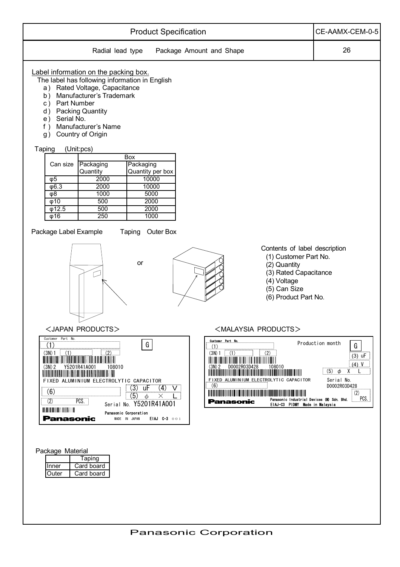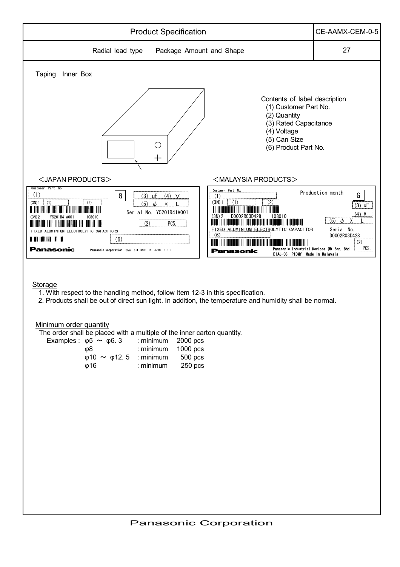

Storage

- 1. With respect to the handling method, follow Item 12-3 in this specification.
- 2. Products shall be out of direct sun light. In addition, the temperature and humidity shall be normal.

Minimum order quantity

The order shall be placed with a multiple of the inner carton quantity.

| Examples: $\varphi$ 5 $\sim \varphi$ 6.3     | $:$ minimum 2000 pcs |                      |
|----------------------------------------------|----------------------|----------------------|
| ω8                                           | : minimum $1000$ pcs |                      |
| $\varphi$ 10 $\sim$ $\varphi$ 12.5 : minimum |                      | $500 \,\mathrm{pcs}$ |
| თ16                                          | $:$ minimum          | 250 pcs              |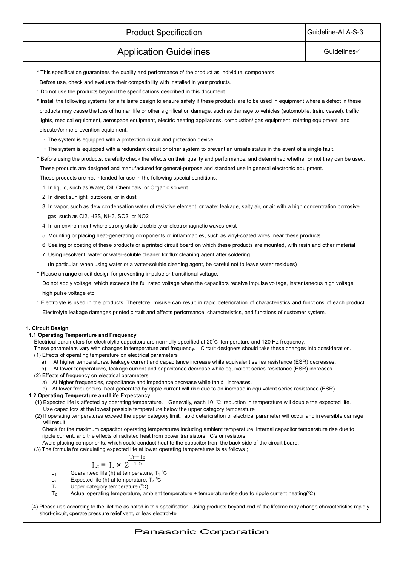### Product Specification and Guideline-ALA-S-3

### Application Guidelines **Guidelines Guidelines-1**

- \* This specification guarantees the quality and performance of the product as individual components.
- Before use, check and evaluate their compatibility with installed in your products.
- \* Do not use the products beyond the specifications described in this document.
- \* Install the following systems for a failsafe design to ensure safety if these products are to be used in equipment where a defect in these products may cause the loss of human life or other signification damage, such as damage to vehicles (automobile, train, vessel), traffic lights, medical equipment, aerospace equipment, electric heating appliances, combustion/ gas equipment, rotating equipment, and disaster/crime prevention equipment.
	- The system is equipped with a protection circuit and protection device.
	- The system is equipped with a redundant circuit or other system to prevent an unsafe status in the event of a single fault.

\* Before using the products, carefully check the effects on their quality and performance, and determined whether or not they can be used. These products are designed and manufactured for general-purpose and standard use in general electronic equipment.

These products are not intended for use in the following special conditions.

- 1. In liquid, such as Water, Oil, Chemicals, or Organic solvent
- 2. In direct sunlight, outdoors, or in dust
- 3. In vapor, such as dew condensation water of resistive element, or water leakage, salty air, or air with a high concentration corrosive gas, such as Cl2, H2S, NH3, SO2, or NO2
- 4. In an environment where strong static electricity or electromagnetic waves exist
- 5. Mounting or placing heat-generating components or inflammables, such as vinyl-coated wires, near these products
- 6. Sealing or coating of these products or a printed circuit board on which these products are mounted, with resin and other material
- 7. Using resolvent, water or water-soluble cleaner for flux cleaning agent after soldering.
	- (In particular, when using water or a water-soluble cleaning agent, be careful not to leave water residues)
- \* Please arrange circuit design for preventing impulse or transitional voltage.

Do not apply voltage, which exceeds the full rated voltage when the capacitors receive impulse voltage, instantaneous high voltage, high pulse voltage etc.

\* Electrolyte is used in the products. Therefore, misuse can result in rapid deterioration of characteristics and functions of each product. Electrolyte leakage damages printed circuit and affects performance, characteristics, and functions of customer system.

### **1. Circuit Design**

#### **1.1 Operating Temperature and Frequency**

Electrical parameters for electrolytic capacitors are normally specified at 20°C temperature and 120 Hz frequency.

 These parameters vary with changes in temperature and frequency. Circuit designers should take these changes into consideration. (1) Effects of operating temperature on electrical parameters

- a) At higher temperatures, leakage current and capacitance increase while equivalent series resistance (ESR) decreases.
- b) At lower temperatures, leakage current and capacitance decrease while equivalent series resistance (ESR) increases.
- (2) Effects of frequency on electrical parameters
	- a) At higher frequencies, capacitance and impedance decrease while  $tan \delta$  increases.
- b) At lower frequencies, heat generated by ripple current will rise due to an increase in equivalent series resistance (ESR).

#### **1.2 Operating Temperature and Life Expectancy**

- (1) Expected life is affected by operating temperature. Generally, each 10 °C reduction in temperature will double the expected life. Use capacitors at the lowest possible temperature below the upper category temperature.
- (2) If operating temperatures exceed the upper category limit, rapid deterioration of electrical parameter will occur and irreversible damage will result.

 Check for the maximum capacitor operating temperatures including ambient temperature, internal capacitor temperature rise due to ripple current, and the effects of radiated heat from power transistors, IC's or resistors.

- Avoid placing components, which could conduct heat to the capacitor from the back side of the circuit board.
- (3) The formula for calculating expected life at lower operating temperatures is as follows ;

$$
L_2 = L_1 \times 2^{\frac{T_1 - T_2}{10}}
$$

- $L_1$  : Guaranteed life (h) at temperature, T<sub>1</sub>  $^{\circ}$ C
	- $L_2$  : Expected life (h) at temperature,  $T_2$  °C
	- $T_1$  : Upper category temperature ( ${}^{\circ}C$ )
	- $T_2$ : Actual operating temperature, ambient temperature + temperature rise due to ripple current heating( $°C$ )

 (4) Please use according to the lifetime as noted in this specification. Using products beyond end of the lifetime may change characteristics rapidly, short-circuit, operate pressure relief vent, or leak electrolyte.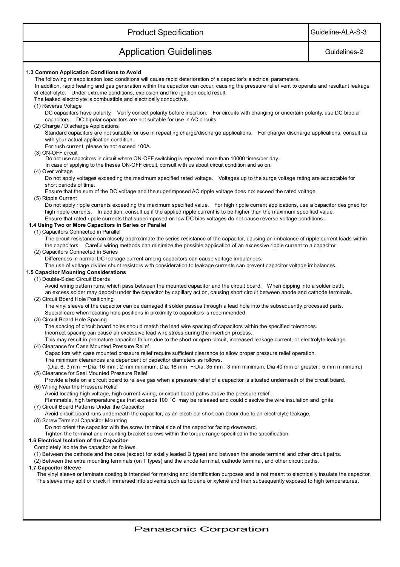| <b>Product Specification</b>                                                                                                                                                                                                                                                                                                                                                                                                                                                                             | Guideline-ALA-S-3 |  |
|----------------------------------------------------------------------------------------------------------------------------------------------------------------------------------------------------------------------------------------------------------------------------------------------------------------------------------------------------------------------------------------------------------------------------------------------------------------------------------------------------------|-------------------|--|
| <b>Application Guidelines</b>                                                                                                                                                                                                                                                                                                                                                                                                                                                                            | Guidelines-2      |  |
| 1.3 Common Application Conditions to Avoid<br>The following misapplication load conditions will cause rapid deterioration of a capacitor's electrical parameters.<br>In addition, rapid heating and gas generation within the capacitor can occur, causing the pressure relief vent to operate and resultant leakage<br>of electrolyte. Under extreme conditions, explosion and fire ignition could result.<br>The leaked electrolyte is combustible and electrically conductive.<br>(1) Reverse Voltage |                   |  |
| DC capacitors have polarity. Verify correct polarity before insertion. For circuits with changing or uncertain polarity, use DC bipolar<br>capacitors. DC bipolar capacitors are not suitable for use in AC circuits.<br>(2) Charge / Discharge Applications<br>Standard capacitors are not suitable for use in repeating charge/discharge applications. For charge/ discharge applications, consult us                                                                                                  |                   |  |
| with your actual application condition.<br>For rush current, please to not exceed 100A.<br>(3) ON-OFF circuit<br>Do not use capacitors in circuit where ON-OFF switching is repeated more than 10000 times/per day.                                                                                                                                                                                                                                                                                      |                   |  |
| In case of applying to the theses ON-OFF circuit, consult with us about circuit condition and so on.<br>(4) Over voltage<br>Do not apply voltages exceeding the maximum specified rated voltage. Voltages up to the surge voltage rating are acceptable for<br>short periods of time.                                                                                                                                                                                                                    |                   |  |
| Ensure that the sum of the DC voltage and the superimposed AC ripple voltage does not exceed the rated voltage.<br>(5) Ripple Current<br>Do not apply ripple currents exceeding the maximum specified value. For high ripple current applications, use a capacitor designed for<br>high ripple currents. In addition, consult us if the applied ripple current is to be higher than the maximum specified value.                                                                                         |                   |  |
| Ensure that rated ripple currents that superimposed on low DC bias voltages do not cause reverse voltage conditions.<br>1.4 Using Two or More Capacitors in Series or Parallel<br>(1) Capacitors Connected in Parallel                                                                                                                                                                                                                                                                                   |                   |  |
| The circuit resistance can closely approximate the series resistance of the capacitor, causing an imbalance of ripple current loads within<br>the capacitors. Careful wiring methods can minimize the possible application of an excessive ripple current to a capacitor.<br>(2) Capacitors Connected in Series<br>Differences in normal DC leakage current among capacitors can cause voltage imbalances.                                                                                               |                   |  |
| The use of voltage divider shunt resistors with consideration to leakage currents can prevent capacitor voltage imbalances.<br>1.5 Capacitor Mounting Considerations<br>(1) Double-Sided Circuit Boards<br>Avoid wiring pattern runs, which pass between the mounted capacitor and the circuit board.  When dipping into a solder bath,                                                                                                                                                                  |                   |  |
| an excess solder may deposit under the capacitor by capillary action, causing short circuit between anode and cathode terminals.<br>(2) Circuit Board Hole Positioning<br>The vinyl sleeve of the capacitor can be damaged if solder passes through a lead hole into the subsequently processed parts.                                                                                                                                                                                                   |                   |  |
| Special care when locating hole positions in proximity to capacitors is recommended.<br>(3) Circuit Board Hole Spacing<br>The spacing of circuit board holes should match the lead wire spacing of capacitors within the specified tolerances.<br>Incorrect spacing can cause an excessive lead wire stress during the insertion process.                                                                                                                                                                |                   |  |
| This may result in premature capacitor failure due to the short or open circuit, increased leakage current, or electrolyte leakage.<br>(4) Clearance for Case Mounted Pressure Relief<br>Capacitors with case mounted pressure relief require sufficient clearance to allow proper pressure relief operation.<br>The minimum clearances are dependent of capacitor diameters as follows.                                                                                                                 |                   |  |
| (Dia. 6. 3 mm ~Dia. 16 mm : 2 mm minimum, Dia. 18 mm ~Dia. 35 mm : 3 mm minimum, Dia 40 mm or greater : 5 mm minimum.)<br>(5) Clearance for Seal Mounted Pressure Relief<br>Provide a hole on a circuit board to relieve gas when a pressure relief of a capacitor is situated underneath of the circuit board.                                                                                                                                                                                          |                   |  |
| (6) Wiring Near the Pressure Relief<br>Avoid locating high voltage, high current wiring, or circuit board paths above the pressure relief.<br>Flammable, high temperature gas that exceeds 100 °C may be released and could dissolve the wire insulation and ignite.<br>(7) Circuit Board Patterns Under the Capacitor                                                                                                                                                                                   |                   |  |
| Avoid circuit board runs underneath the capacitor, as an electrical short can occur due to an electrolyte leakage.<br>(8) Screw Terminal Capacitor Mounting<br>Do not orient the capacitor with the screw terminal side of the capacitor facing downward.                                                                                                                                                                                                                                                |                   |  |
| Tighten the terminal and mounting bracket screws within the torque range specified in the specification.<br>1.6 Electrical Isolation of the Capacitor<br>Completely isolate the capacitor as follows.<br>(1) Between the cathode and the case (except for axially leaded B types) and between the anode terminal and other circuit paths.                                                                                                                                                                |                   |  |
| (2) Between the extra mounting terminals (on T types) and the anode terminal, cathode terminal, and other circuit paths.<br>1.7 Capacitor Sleeve<br>The vinyl sleeve or laminate coating is intended for marking and identification purposes and is not meant to electrically insulate the capacitor.<br>The sleeve may split or crack if immersed into solvents such as toluene or xylene and then subsequently exposed to high temperatures.                                                           |                   |  |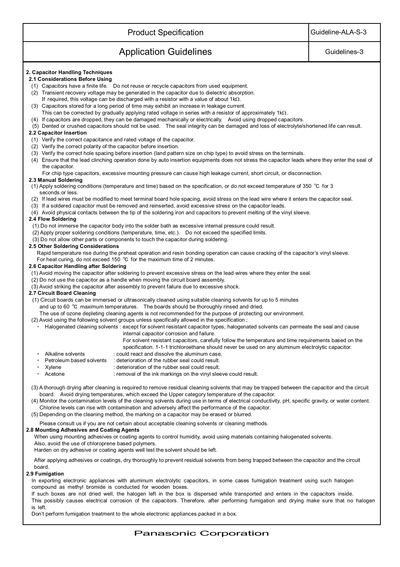| <b>Product Specification</b>                                                                                                                                                                                                                                                                                                                                                                                                                                                                                                                                                                                                                                                                                                                                                                                                                                                                                                                                    | Guideline-ALA-S-3 |  |
|-----------------------------------------------------------------------------------------------------------------------------------------------------------------------------------------------------------------------------------------------------------------------------------------------------------------------------------------------------------------------------------------------------------------------------------------------------------------------------------------------------------------------------------------------------------------------------------------------------------------------------------------------------------------------------------------------------------------------------------------------------------------------------------------------------------------------------------------------------------------------------------------------------------------------------------------------------------------|-------------------|--|
| <b>Application Guidelines</b>                                                                                                                                                                                                                                                                                                                                                                                                                                                                                                                                                                                                                                                                                                                                                                                                                                                                                                                                   | Guidelines-3      |  |
| 2. Capacitor Handling Techniques<br>2.1 Considerations Before Using<br>(1) Capacitors have a finite life. Do not reuse or recycle capacitors from used equipment.<br>(2) Transient recovery voltage may be generated in the capacitor due to dielectric absorption.<br>If required, this voltage can be discharged with a resistor with a value of about $1k\Omega$ .<br>(3) Capacitors stored for a long period of time may exhibit an increase in leakage current.<br>This can be corrected by gradually applying rated voltage in series with a resistor of approximately $1k\Omega$ .<br>(4) If capacitors are dropped, they can be damaged mechanically or electrically. Avoid using dropped capacitors.<br>(5) Dented or crushed capacitors should not be used. The seal integrity can be damaged and loss of electrolyte/shortened life can result.<br>2.2 Capacitor Insertion<br>(1) Verify the correct capacitance and rated voltage of the capacitor. |                   |  |
| (2) Verify the correct polarity of the capacitor before insertion.<br>(3) Verify the correct hole spacing before insertion (land pattern size on chip type) to avoid stress on the terminals.<br>(4) Ensure that the lead clinching operation done by auto insertion equipments does not stress the capacitor leads where they enter the seal of<br>the capacitor.<br>For chip type capacitors, excessive mounting pressure can cause high leakage current, short circuit, or disconnection.                                                                                                                                                                                                                                                                                                                                                                                                                                                                    |                   |  |
| 2.3 Manual Soldering<br>(1) Apply soldering conditions (temperature and time) based on the specification, or do not exceed temperature of 350 °C for 3                                                                                                                                                                                                                                                                                                                                                                                                                                                                                                                                                                                                                                                                                                                                                                                                          |                   |  |
| seconds or less.<br>(2) If lead wires must be modified to meet terminal board hole spacing, avoid stress on the lead wire where it enters the capacitor seal.<br>(3) If a soldered capacitor must be removed and reinserted, avoid excessive stress on the capacitor leads.<br>(4) Avoid physical contacts between the tip of the soldering iron and capacitors to prevent melting of the vinyl sleeve.<br>2.4 Flow Soldering                                                                                                                                                                                                                                                                                                                                                                                                                                                                                                                                   |                   |  |
| (1) Do not immerse the capacitor body into the solder bath as excessive internal pressure could result.<br>(2) Apply proper soldering conditions (temperature, time, etc.). Do not exceed the specified limits.<br>(3) Do not allow other parts or components to touch the capacitor during soldering.<br>2.5 Other Soldering Considerations<br>Rapid temperature rise during the preheat operation and resin bonding operation can cause cracking of the capacitor's vinyl sleeve.                                                                                                                                                                                                                                                                                                                                                                                                                                                                             |                   |  |
| For heat curing, do not exceed 150 $^{\circ}$ C for the maximum time of 2 minutes.<br>2.6 Capacitor Handling after Soldering<br>(1) Avoid moving the capacitor after soldering to prevent excessive stress on the lead wires where they enter the seal.<br>(2) Do not use the capacitor as a handle when moving the circuit board assembly.<br>(3) Avoid striking the capacitor after assembly to prevent failure due to excessive shock.                                                                                                                                                                                                                                                                                                                                                                                                                                                                                                                       |                   |  |
| 2.7 Circuit Board Cleaning<br>(1) Circuit boards can be immersed or ultrasonically cleaned using suitable cleaning solvents for up to 5 minutes<br>and up to 60 °C maximum temperatures. The boards should be thoroughly rinsed and dried.<br>The use of ozone depleting cleaning agents is not recommended for the purpose of protecting our environment.<br>(2) Avoid using the following solvent groups unless specifically allowed in the specification;<br>Halogenated cleaning solvents : except for solvent resistant capacitor types, halogenated solvents can permeate the seal and cause<br>internal capacitor corrosion and failure.<br>For solvent resistant capacitors, carefully follow the temperature and time requirements based on the                                                                                                                                                                                                        |                   |  |
| specification. 1-1-1 trichloroethane should never be used on any aluminum electrolytic capacitor.<br>Alkaline solvents<br>: could react and dissolve the aluminum case.<br>٠<br>Petroleum based solvents<br>: deterioration of the rubber seal could result.<br>: deterioration of the rubber seal could result.<br>Xylene<br>Acetone<br>: removal of the ink markings on the vinyl sleeve could result.                                                                                                                                                                                                                                                                                                                                                                                                                                                                                                                                                        |                   |  |
| (3) A thorough drying after cleaning is required to remove residual cleaning solvents that may be trapped between the capacitor and the circuit<br>board. Avoid drying temperatures, which exceed the Upper category temperature of the capacitor.<br>(4) Monitor the contamination levels of the cleaning solvents during use in terms of electrical conductivity, pH, specific gravity, or water content.<br>Chlorine levels can rise with contamination and adversely affect the performance of the capacitor.<br>(5) Depending on the cleaning method, the marking on a capacitor may be erased or blurred.                                                                                                                                                                                                                                                                                                                                                 |                   |  |
| Please consult us if you are not certain about acceptable cleaning solvents or cleaning methods.<br>2.8 Mounting Adhesives and Coating Agents<br>When using mounting adhesives or coating agents to control humidity, avoid using materials containing halogenated solvents.<br>Also, avoid the use of chloroprene based polymers.<br>Harden on dry adhesive or coating agents well lest the solvent should be left.                                                                                                                                                                                                                                                                                                                                                                                                                                                                                                                                            |                   |  |
| After applying adhesives or coatings, dry thoroughly to prevent residual solvents from being trapped between the capacitor and the circuit<br>board.<br>2.9 Fumigation<br>In exporting electronic appliances with aluminum electrolytic capacitors, in some cases fumigation treatment using such halogen<br>compound as methyl bromide is conducted for wooden boxes.<br>If such boxes are not dried well, the halogen left in the box is dispersed while transported and enters in the capacitors inside.                                                                                                                                                                                                                                                                                                                                                                                                                                                     |                   |  |

This possibly causes electrical corrosion of the capacitors. Therefore, after performing fumigation and drying make sure that no halogen is left.

Don't perform fumigation treatment to the whole electronic appliances packed in a box.